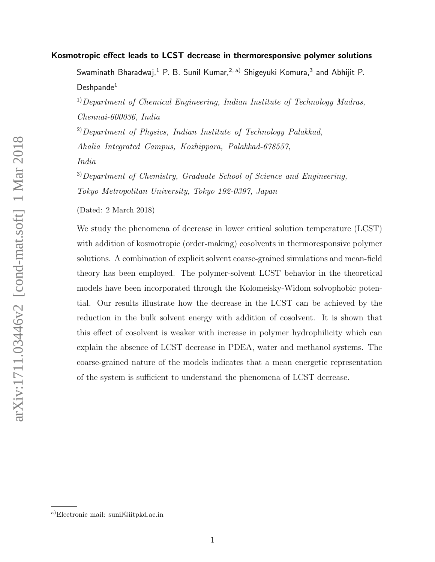#### Kosmotropic effect leads to LCST decrease in thermoresponsive polymer solutions

Swaminath Bharadwaj, $^1$  P. B. Sunil Kumar, $^{2, \text{ a)}}$  Shigeyuki Komura, $^3$  and Abhijit P.  $Deshnande<sup>1</sup>$ 

<sup>1)</sup>Department of Chemical Engineering, Indian Institute of Technology Madras, Chennai-600036, India

<sup>2)</sup>Department of Physics, Indian Institute of Technology Palakkad, Ahalia Integrated Campus, Kozhippara, Palakkad-678557, India

 $^{3)}$ Department of Chemistry, Graduate School of Science and Engineering, Tokyo Metropolitan University, Tokyo 192-0397, Japan

(Dated: 2 March 2018)

We study the phenomena of decrease in lower critical solution temperature (LCST) with addition of kosmotropic (order-making) cosolvents in thermoresponsive polymer solutions. A combination of explicit solvent coarse-grained simulations and mean-field theory has been employed. The polymer-solvent LCST behavior in the theoretical models have been incorporated through the Kolomeisky-Widom solvophobic potential. Our results illustrate how the decrease in the LCST can be achieved by the reduction in the bulk solvent energy with addition of cosolvent. It is shown that this effect of cosolvent is weaker with increase in polymer hydrophilicity which can explain the absence of LCST decrease in PDEA, water and methanol systems. The coarse-grained nature of the models indicates that a mean energetic representation of the system is sufficient to understand the phenomena of LCST decrease.

a)Electronic mail: sunil@iitpkd.ac.in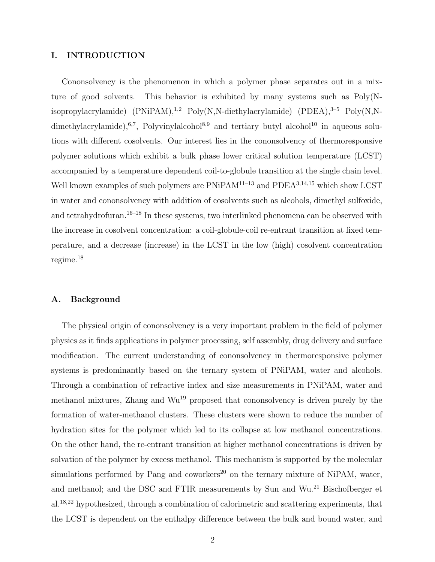#### I. INTRODUCTION

Cononsolvency is the phenomenon in which a polymer phase separates out in a mixture of good solvents. This behavior is exhibited by many systems such as Poly(Nisopropylacrylamide)  $(PNiPAM)$ ,<sup>1,2</sup> Poly(N,N-diethylacrylamide)  $(PDEA)$ ,<sup>3-5</sup> Poly(N,Ndimethylacrylamide),<sup>6,7</sup>, Polyvinylalcohol<sup>8,9</sup> and tertiary butyl alcohol<sup>10</sup> in aqueous solutions with different cosolvents. Our interest lies in the cononsolvency of thermoresponsive polymer solutions which exhibit a bulk phase lower critical solution temperature (LCST) accompanied by a temperature dependent coil-to-globule transition at the single chain level. Well known examples of such polymers are  $PNiPAM^{11-13}$  and  $PDEA^{3,14,15}$  which show LCST in water and cononsolvency with addition of cosolvents such as alcohols, dimethyl sulfoxide, and tetrahydrofuran.<sup>16–18</sup> In these systems, two interlinked phenomena can be observed with the increase in cosolvent concentration: a coil-globule-coil re-entrant transition at fixed temperature, and a decrease (increase) in the LCST in the low (high) cosolvent concentration regime.<sup>18</sup>

#### A. Background

The physical origin of cononsolvency is a very important problem in the field of polymer physics as it finds applications in polymer processing, self assembly, drug delivery and surface modification. The current understanding of cononsolvency in thermoresponsive polymer systems is predominantly based on the ternary system of PNiPAM, water and alcohols. Through a combination of refractive index and size measurements in PNiPAM, water and methanol mixtures, Zhang and  $\text{Wu}^{19}$  proposed that cononsolvency is driven purely by the formation of water-methanol clusters. These clusters were shown to reduce the number of hydration sites for the polymer which led to its collapse at low methanol concentrations. On the other hand, the re-entrant transition at higher methanol concentrations is driven by solvation of the polymer by excess methanol. This mechanism is supported by the molecular simulations performed by Pang and coworkers<sup>20</sup> on the ternary mixture of NiPAM, water, and methanol; and the DSC and FTIR measurements by Sun and Wu.<sup>21</sup> Bischofberger et al.18,22 hypothesized, through a combination of calorimetric and scattering experiments, that the LCST is dependent on the enthalpy difference between the bulk and bound water, and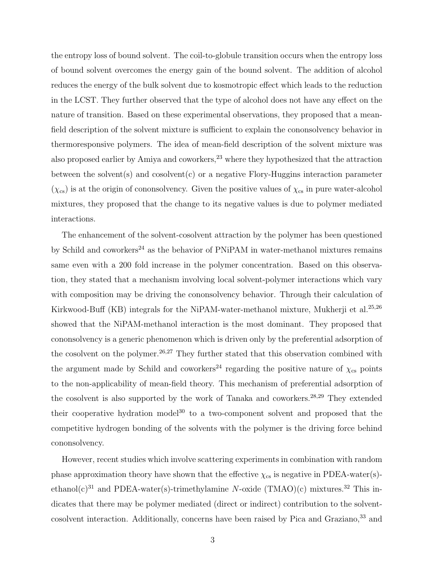the entropy loss of bound solvent. The coil-to-globule transition occurs when the entropy loss of bound solvent overcomes the energy gain of the bound solvent. The addition of alcohol reduces the energy of the bulk solvent due to kosmotropic effect which leads to the reduction in the LCST. They further observed that the type of alcohol does not have any effect on the nature of transition. Based on these experimental observations, they proposed that a meanfield description of the solvent mixture is sufficient to explain the cononsolvency behavior in thermoresponsive polymers. The idea of mean-field description of the solvent mixture was also proposed earlier by Amiya and coworkers,<sup>23</sup> where they hypothesized that the attraction between the solvent(s) and cosolvent(c) or a negative Flory-Huggins interaction parameter  $(\chi_{cs})$  is at the origin of cononsolvency. Given the positive values of  $\chi_{cs}$  in pure water-alcohol mixtures, they proposed that the change to its negative values is due to polymer mediated interactions.

The enhancement of the solvent-cosolvent attraction by the polymer has been questioned by Schild and coworkers<sup>24</sup> as the behavior of PNiPAM in water-methanol mixtures remains same even with a 200 fold increase in the polymer concentration. Based on this observation, they stated that a mechanism involving local solvent-polymer interactions which vary with composition may be driving the cononsolvency behavior. Through their calculation of Kirkwood-Buff (KB) integrals for the NiPAM-water-methanol mixture, Mukherji et al.<sup>25,26</sup> showed that the NiPAM-methanol interaction is the most dominant. They proposed that cononsolvency is a generic phenomenon which is driven only by the preferential adsorption of the cosolvent on the polymer.<sup>26,27</sup> They further stated that this observation combined with the argument made by Schild and coworkers<sup>24</sup> regarding the positive nature of  $\chi_{cs}$  points to the non-applicability of mean-field theory. This mechanism of preferential adsorption of the cosolvent is also supported by the work of Tanaka and coworkers.<sup>28,29</sup> They extended their cooperative hydration model<sup>30</sup> to a two-component solvent and proposed that the competitive hydrogen bonding of the solvents with the polymer is the driving force behind cononsolvency.

However, recent studies which involve scattering experiments in combination with random phase approximation theory have shown that the effective  $\chi_{\text{cs}}$  is negative in PDEA-water(s)ethanol(c)<sup>31</sup> and PDEA-water(s)-trimethylamine N-oxide (TMAO)(c) mixtures.<sup>32</sup> This indicates that there may be polymer mediated (direct or indirect) contribution to the solventcosolvent interaction. Additionally, concerns have been raised by Pica and Graziano,<sup>33</sup> and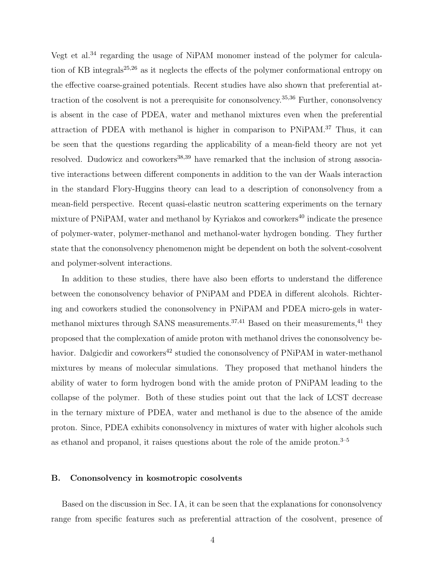Vegt et al.<sup>34</sup> regarding the usage of NiPAM monomer instead of the polymer for calculation of KB integrals<sup>25,26</sup> as it neglects the effects of the polymer conformational entropy on the effective coarse-grained potentials. Recent studies have also shown that preferential attraction of the cosolvent is not a prerequisite for cononsolvency.35,36 Further, cononsolvency is absent in the case of PDEA, water and methanol mixtures even when the preferential attraction of PDEA with methanol is higher in comparison to PNiPAM.<sup>37</sup> Thus, it can be seen that the questions regarding the applicability of a mean-field theory are not yet resolved. Dudowicz and coworkers<sup>38,39</sup> have remarked that the inclusion of strong associative interactions between different components in addition to the van der Waals interaction in the standard Flory-Huggins theory can lead to a description of cononsolvency from a mean-field perspective. Recent quasi-elastic neutron scattering experiments on the ternary mixture of PNiPAM, water and methanol by Kyriakos and coworkers <sup>40</sup> indicate the presence of polymer-water, polymer-methanol and methanol-water hydrogen bonding. They further state that the cononsolvency phenomenon might be dependent on both the solvent-cosolvent and polymer-solvent interactions.

In addition to these studies, there have also been efforts to understand the difference between the cononsolvency behavior of PNiPAM and PDEA in different alcohols. Richtering and coworkers studied the cononsolvency in PNiPAM and PDEA micro-gels in watermethanol mixtures through SANS measurements.<sup>37,41</sup> Based on their measurements,<sup>41</sup> they proposed that the complexation of amide proton with methanol drives the cononsolvency behavior. Dalgicdir and coworkers<sup>42</sup> studied the cononsolvency of PNiPAM in water-methanol mixtures by means of molecular simulations. They proposed that methanol hinders the ability of water to form hydrogen bond with the amide proton of PNiPAM leading to the collapse of the polymer. Both of these studies point out that the lack of LCST decrease in the ternary mixture of PDEA, water and methanol is due to the absence of the amide proton. Since, PDEA exhibits cononsolvency in mixtures of water with higher alcohols such as ethanol and propanol, it raises questions about the role of the amide proton.<sup>3–5</sup>

#### B. Cononsolvency in kosmotropic cosolvents

Based on the discussion in Sec. I A, it can be seen that the explanations for cononsolvency range from specific features such as preferential attraction of the cosolvent, presence of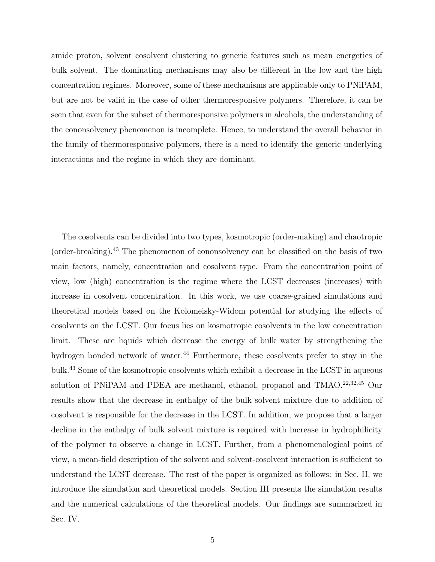amide proton, solvent cosolvent clustering to generic features such as mean energetics of bulk solvent. The dominating mechanisms may also be different in the low and the high concentration regimes. Moreover, some of these mechanisms are applicable only to PNiPAM, but are not be valid in the case of other thermoresponsive polymers. Therefore, it can be seen that even for the subset of thermoresponsive polymers in alcohols, the understanding of the cononsolvency phenomenon is incomplete. Hence, to understand the overall behavior in the family of thermoresponsive polymers, there is a need to identify the generic underlying interactions and the regime in which they are dominant.

The cosolvents can be divided into two types, kosmotropic (order-making) and chaotropic (order-breaking).<sup>43</sup> The phenomenon of cononsolvency can be classified on the basis of two main factors, namely, concentration and cosolvent type. From the concentration point of view, low (high) concentration is the regime where the LCST decreases (increases) with increase in cosolvent concentration. In this work, we use coarse-grained simulations and theoretical models based on the Kolomeisky-Widom potential for studying the effects of cosolvents on the LCST. Our focus lies on kosmotropic cosolvents in the low concentration limit. These are liquids which decrease the energy of bulk water by strengthening the hydrogen bonded network of water.<sup>44</sup> Furthermore, these cosolvents prefer to stay in the bulk.<sup>43</sup> Some of the kosmotropic cosolvents which exhibit a decrease in the LCST in aqueous solution of PNiPAM and PDEA are methanol, ethanol, propanol and TMAO.<sup>22,32,45</sup> Our results show that the decrease in enthalpy of the bulk solvent mixture due to addition of cosolvent is responsible for the decrease in the LCST. In addition, we propose that a larger decline in the enthalpy of bulk solvent mixture is required with increase in hydrophilicity of the polymer to observe a change in LCST. Further, from a phenomenological point of view, a mean-field description of the solvent and solvent-cosolvent interaction is sufficient to understand the LCST decrease. The rest of the paper is organized as follows: in Sec. II, we introduce the simulation and theoretical models. Section III presents the simulation results and the numerical calculations of the theoretical models. Our findings are summarized in Sec. IV.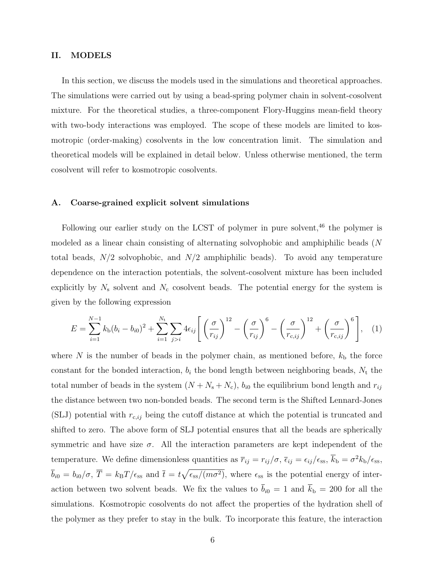#### II. MODELS

In this section, we discuss the models used in the simulations and theoretical approaches. The simulations were carried out by using a bead-spring polymer chain in solvent-cosolvent mixture. For the theoretical studies, a three-component Flory-Huggins mean-field theory with two-body interactions was employed. The scope of these models are limited to kosmotropic (order-making) cosolvents in the low concentration limit. The simulation and theoretical models will be explained in detail below. Unless otherwise mentioned, the term cosolvent will refer to kosmotropic cosolvents.

#### A. Coarse-grained explicit solvent simulations

Following our earlier study on the LCST of polymer in pure solvent,<sup>46</sup> the polymer is modeled as a linear chain consisting of alternating solvophobic and amphiphilic beads (N total beads,  $N/2$  solvophobic, and  $N/2$  amphiphilic beads). To avoid any temperature dependence on the interaction potentials, the solvent-cosolvent mixture has been included explicitly by  $N_s$  solvent and  $N_c$  cosolvent beads. The potential energy for the system is given by the following expression

$$
E = \sum_{i=1}^{N-1} k_{\text{b}} (b_i - b_{i0})^2 + \sum_{i=1}^{N_{\text{t}}} \sum_{j>i} 4 \epsilon_{ij} \left[ \left( \frac{\sigma}{r_{ij}} \right)^{12} - \left( \frac{\sigma}{r_{ij}} \right)^6 - \left( \frac{\sigma}{r_{\text{c},ij}} \right)^{12} + \left( \frac{\sigma}{r_{\text{c},ij}} \right)^6 \right], \quad (1)
$$

where  $N$  is the number of beads in the polymer chain, as mentioned before,  $k<sub>b</sub>$  the force constant for the bonded interaction,  $b_i$  the bond length between neighboring beads,  $N_t$  the total number of beads in the system  $(N + N_s + N_c)$ ,  $b_{i0}$  the equilibrium bond length and  $r_{ij}$ the distance between two non-bonded beads. The second term is the Shifted Lennard-Jones (SLJ) potential with  $r_{c,ij}$  being the cutoff distance at which the potential is truncated and shifted to zero. The above form of SLJ potential ensures that all the beads are spherically symmetric and have size  $\sigma$ . All the interaction parameters are kept independent of the temperature. We define dimensionless quantities as  $\overline{r}_{ij} = r_{ij}/\sigma$ ,  $\overline{\epsilon}_{ij} = \epsilon_{ij}/\epsilon_{ss}$ ,  $\overline{k}_{\rm b} = \sigma^2 k_{\rm b}/\epsilon_{ss}$ ,  $\bar{b}_{i0} = b_{i0}/\sigma$ ,  $\bar{T} = k_B T/\epsilon_{ss}$  and  $\bar{t} = t\sqrt{\epsilon_{ss}/(m\sigma^2)}$ , where  $\epsilon_{ss}$  is the potential energy of interaction between two solvent beads. We fix the values to  $\bar{b}_{i0} = 1$  and  $\bar{k}_{b} = 200$  for all the simulations. Kosmotropic cosolvents do not affect the properties of the hydration shell of the polymer as they prefer to stay in the bulk. To incorporate this feature, the interaction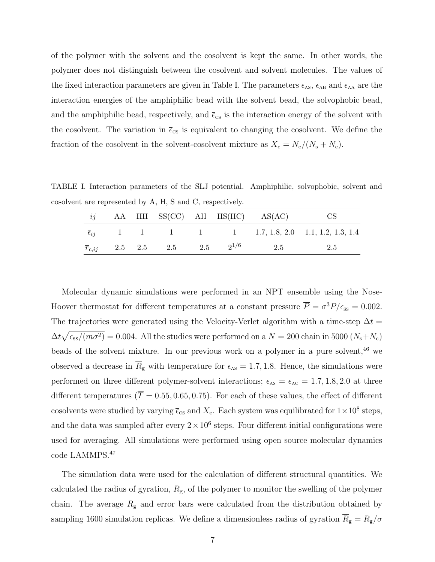of the polymer with the solvent and the cosolvent is kept the same. In other words, the polymer does not distinguish between the cosolvent and solvent molecules. The values of the fixed interaction parameters are given in Table I. The parameters  $\bar{\epsilon}_{AS}$ ,  $\bar{\epsilon}_{AH}$  and  $\bar{\epsilon}_{AA}$  are the interaction energies of the amphiphilic bead with the solvent bead, the solvophobic bead, and the amphiphilic bead, respectively, and  $\bar{\epsilon}_{cs}$  is the interaction energy of the solvent with the cosolvent. The variation in  $\bar{\epsilon}_{cs}$  is equivalent to changing the cosolvent. We define the fraction of the cosolvent in the solvent-cosolvent mixture as  $X_c = N_c/(N_s + N_c)$ .

TABLE I. Interaction parameters of the SLJ potential. Amphiphilic, solvophobic, solvent and cosolvent are represented by A, H, S and C, respectively.

|  |  |  | $ij$ AA HH SS(CC) AH HS(HC) AS(AC)                         | CS.                                                                     |
|--|--|--|------------------------------------------------------------|-------------------------------------------------------------------------|
|  |  |  |                                                            | $\overline{\epsilon}_{ij}$ 1 1 1 1 1 1 1.7, 1.8, 2.0 1.1, 1.2, 1.3, 1.4 |
|  |  |  | $\overline{r}_{c,ij}$ 2.5 2.5 2.5 2.5 2 <sup>1/6</sup> 2.5 | 2.5                                                                     |

Molecular dynamic simulations were performed in an NPT ensemble using the Nose-Hoover thermostat for different temperatures at a constant pressure  $\overline{P} = \sigma^3 P/\epsilon_{ss} = 0.002$ . The trajectories were generated using the Velocity-Verlet algorithm with a time-step  $\Delta \bar{t}$  =  $\Delta t \sqrt{\epsilon_{\rm ss}/(m\sigma^2)} = 0.004$ . All the studies were performed on a  $N = 200$  chain in 5000  $(N_s + N_c)$ beads of the solvent mixture. In our previous work on a polymer in a pure solvent, $46$  we observed a decrease in  $\overline{R}_{g}$  with temperature for  $\overline{\epsilon}_{AS} = 1.7, 1.8$ . Hence, the simulations were performed on three different polymer-solvent interactions;  $\bar{\epsilon}_{AS} = \bar{\epsilon}_{AC} = 1.7, 1.8, 2.0$  at three different temperatures ( $\overline{T} = 0.55, 0.65, 0.75$ ). For each of these values, the effect of different cosolvents were studied by varying  $\bar{\epsilon}_{cs}$  and  $X_c$ . Each system was equilibrated for  $1 \times 10^8$  steps, and the data was sampled after every  $2 \times 10^6$  steps. Four different initial configurations were used for averaging. All simulations were performed using open source molecular dynamics code LAMMPS.<sup>47</sup>

The simulation data were used for the calculation of different structural quantities. We calculated the radius of gyration,  $R_{\rm g}$ , of the polymer to monitor the swelling of the polymer chain. The average  $R_{\rm g}$  and error bars were calculated from the distribution obtained by sampling 1600 simulation replicas. We define a dimensionless radius of gyration  $\overline{R}_{\rm g} = R_{\rm g}/\sigma$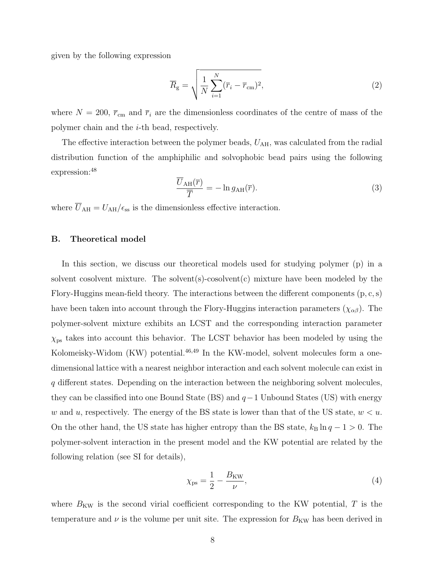given by the following expression

$$
\overline{R}_{\rm g} = \sqrt{\frac{1}{N} \sum_{i=1}^{N} (\overline{r}_i - \overline{r}_{\rm cm})^2},\tag{2}
$$

where  $N = 200$ ,  $\bar{r}_{\text{cm}}$  and  $\bar{r}_i$  are the dimensionless coordinates of the centre of mass of the polymer chain and the i-th bead, respectively.

The effective interaction between the polymer beads,  $U_{\rm AH}$ , was calculated from the radial distribution function of the amphiphilic and solvophobic bead pairs using the following expression:<sup>48</sup>

$$
\frac{\overline{U}_{\text{AH}}(\overline{r})}{\overline{T}} = -\ln g_{\text{AH}}(\overline{r}).\tag{3}
$$

where  $\overline{U}_{\text{AH}} = U_{\text{AH}}/\epsilon_{\text{ss}}$  is the dimensionless effective interaction.

#### B. Theoretical model

In this section, we discuss our theoretical models used for studying polymer (p) in a solvent cosolvent mixture. The solvent(s)-cosolvent(c) mixture have been modeled by the Flory-Huggins mean-field theory. The interactions between the different components  $(p, c, s)$ have been taken into account through the Flory-Huggins interaction parameters  $(\chi_{\alpha\beta})$ . The polymer-solvent mixture exhibits an LCST and the corresponding interaction parameter  $\chi_{\rm ps}$  takes into account this behavior. The LCST behavior has been modeled by using the Kolomeisky-Widom (KW) potential. $46,49$  In the KW-model, solvent molecules form a onedimensional lattice with a nearest neighbor interaction and each solvent molecule can exist in q different states. Depending on the interaction between the neighboring solvent molecules, they can be classified into one Bound State (BS) and  $q-1$  Unbound States (US) with energy w and u, respectively. The energy of the BS state is lower than that of the US state,  $w < u$ . On the other hand, the US state has higher entropy than the BS state,  $k_B \ln q - 1 > 0$ . The polymer-solvent interaction in the present model and the KW potential are related by the following relation (see SI for details),

$$
\chi_{\rm ps} = \frac{1}{2} - \frac{B_{\rm KW}}{\nu},\tag{4}
$$

where  $B_{\text{KW}}$  is the second virial coefficient corresponding to the KW potential, T is the temperature and  $\nu$  is the volume per unit site. The expression for  $B_{\text{KW}}$  has been derived in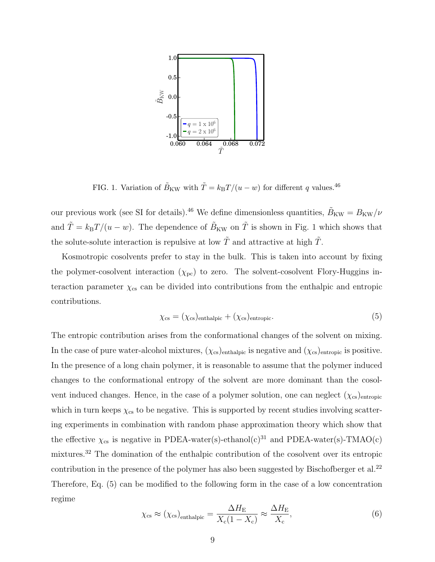

FIG. 1. Variation of  $\tilde{B}_{\text{KW}}$  with  $\tilde{T} = k_{\text{B}}T/(u - w)$  for different q values.<sup>46</sup>

our previous work (see SI for details).<sup>46</sup> We define dimensionless quantities,  $\tilde{B}_{\rm KW} = B_{\rm KW}/\nu$ and  $\tilde{T} = k_B T/(u - w)$ . The dependence of  $\tilde{B}_{KW}$  on  $\tilde{T}$  is shown in Fig. 1 which shows that the solute-solute interaction is repulsive at low  $\tilde{T}$  and attractive at high  $\tilde{T}$ .

Kosmotropic cosolvents prefer to stay in the bulk. This is taken into account by fixing the polymer-cosolvent interaction  $(\chi_{\text{pc}})$  to zero. The solvent-cosolvent Flory-Huggins interaction parameter  $\chi_{\rm cs}$  can be divided into contributions from the enthalpic and entropic contributions.

$$
\chi_{\rm cs} = (\chi_{\rm cs})_{\rm enthalpic} + (\chi_{\rm cs})_{\rm entropic}.\tag{5}
$$

The entropic contribution arises from the conformational changes of the solvent on mixing. In the case of pure water-alcohol mixtures,  $(\chi_{cs})$ <sub>enthalpic</sub> is negative and  $(\chi_{cs})$ <sub>entropic</sub> is positive. In the presence of a long chain polymer, it is reasonable to assume that the polymer induced changes to the conformational entropy of the solvent are more dominant than the cosolvent induced changes. Hence, in the case of a polymer solution, one can neglect  $(\chi_{cs})_{\text{entropic}}$ which in turn keeps  $\chi_{\rm cs}$  to be negative. This is supported by recent studies involving scattering experiments in combination with random phase approximation theory which show that the effective  $\chi_{cs}$  is negative in PDEA-water(s)-ethanol(c)<sup>31</sup> and PDEA-water(s)-TMAO(c) mixtures.<sup>32</sup> The domination of the enthalpic contribution of the cosolvent over its entropic contribution in the presence of the polymer has also been suggested by Bischofberger et al.<sup>22</sup> Therefore, Eq. (5) can be modified to the following form in the case of a low concentration regime

$$
\chi_{\rm cs} \approx (\chi_{\rm cs})_{\rm enthalpic} = \frac{\Delta H_{\rm E}}{X_{\rm c}(1 - X_{\rm c})} \approx \frac{\Delta H_{\rm E}}{X_{\rm c}},\tag{6}
$$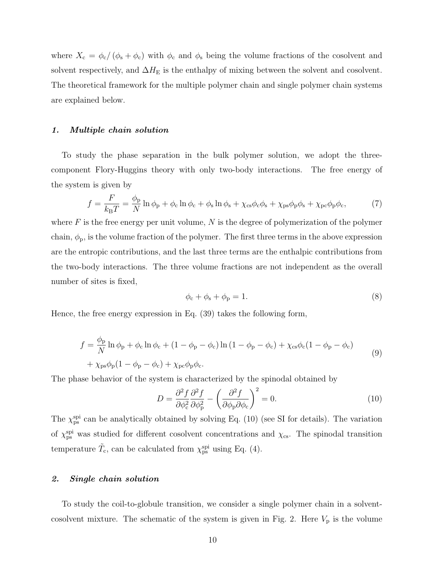where  $X_c = \phi_c/(\phi_s + \phi_c)$  with  $\phi_c$  and  $\phi_s$  being the volume fractions of the cosolvent and solvent respectively, and  $\Delta H_{\mathrm{E}}$  is the enthalpy of mixing between the solvent and cosolvent. The theoretical framework for the multiple polymer chain and single polymer chain systems are explained below.

#### 1. Multiple chain solution

To study the phase separation in the bulk polymer solution, we adopt the threecomponent Flory-Huggins theory with only two-body interactions. The free energy of the system is given by

$$
f = \frac{F}{k_{\rm B}T} = \frac{\phi_{\rm p}}{N} \ln \phi_{\rm p} + \phi_{\rm c} \ln \phi_{\rm c} + \phi_{\rm s} \ln \phi_{\rm s} + \chi_{\rm cs} \phi_{\rm c} \phi_{\rm s} + \chi_{\rm ps} \phi_{\rm p} \phi_{\rm s} + \chi_{\rm pc} \phi_{\rm p} \phi_{\rm c},\tag{7}
$$

where  $F$  is the free energy per unit volume,  $N$  is the degree of polymerization of the polymer chain,  $\phi_{\rm p}$ , is the volume fraction of the polymer. The first three terms in the above expression are the entropic contributions, and the last three terms are the enthalpic contributions from the two-body interactions. The three volume fractions are not independent as the overall number of sites is fixed,

$$
\phi_{\rm c} + \phi_{\rm s} + \phi_{\rm p} = 1. \tag{8}
$$

Hence, the free energy expression in Eq. (39) takes the following form,

$$
f = \frac{\phi_{\rm p}}{N} \ln \phi_{\rm p} + \phi_{\rm c} \ln \phi_{\rm c} + (1 - \phi_{\rm p} - \phi_{\rm c}) \ln (1 - \phi_{\rm p} - \phi_{\rm c}) + \chi_{\rm cs} \phi_{\rm c} (1 - \phi_{\rm p} - \phi_{\rm c})
$$
  
+  $\chi_{\rm ps} \phi_{\rm p} (1 - \phi_{\rm p} - \phi_{\rm c}) + \chi_{\rm pc} \phi_{\rm p} \phi_{\rm c}.$  (9)

The phase behavior of the system is characterized by the spinodal obtained by

$$
D = \frac{\partial^2 f}{\partial \phi_c^2} \frac{\partial^2 f}{\partial \phi_p^2} - \left(\frac{\partial^2 f}{\partial \phi_p \partial \phi_c}\right)^2 = 0.
$$
 (10)

The  $\chi_{\rm ps}^{\rm spi}$  can be analytically obtained by solving Eq. (10) (see SI for details). The variation of  $\chi_{\rm ps}^{\rm spi}$  was studied for different cosolvent concentrations and  $\chi_{\rm cs}$ . The spinodal transition temperature  $\tilde{T}_{\rm c}$ , can be calculated from  $\chi_{\rm ps}^{\rm spi}$  using Eq. (4).

#### 2. Single chain solution

To study the coil-to-globule transition, we consider a single polymer chain in a solventcosolvent mixture. The schematic of the system is given in Fig. 2. Here  $V_p$  is the volume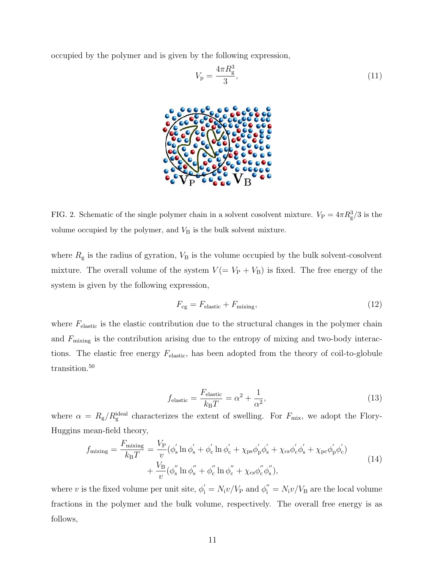occupied by the polymer and is given by the following expression,

$$
V_{\rm p} = \frac{4\pi R_{\rm g}^3}{3},\tag{11}
$$



FIG. 2. Schematic of the single polymer chain in a solvent cosolvent mixture.  $V_{\rm P} = 4\pi R_{\rm g}^3/3$  is the volume occupied by the polymer, and  $V<sub>B</sub>$  is the bulk solvent mixture.

where  $R_{\rm g}$  is the radius of gyration,  $V_{\rm B}$  is the volume occupied by the bulk solvent-cosolvent mixture. The overall volume of the system  $V (= V_P + V_B)$  is fixed. The free energy of the system is given by the following expression,

$$
F_{\rm cg} = F_{\rm elastic} + F_{\rm mixing},\tag{12}
$$

where  $F_{\text{elastic}}$  is the elastic contribution due to the structural changes in the polymer chain and  $F_{\text{mixing}}$  is the contribution arising due to the entropy of mixing and two-body interactions. The elastic free energy  $F_{elastic}$ , has been adopted from the theory of coil-to-globule transition.<sup>50</sup>

$$
f_{\text{elastic}} = \frac{F_{\text{elastic}}}{k_{\text{B}}T} = \alpha^2 + \frac{1}{\alpha^2},\tag{13}
$$

where  $\alpha = R_{\rm g}/R_{\rm g}^{\rm ideal}$  characterizes the extent of swelling. For  $F_{\rm mix}$ , we adopt the Flory-Huggins mean-field theory,

$$
f_{\text{mixing}} = \frac{F_{\text{mixing}}}{k_{\text{B}}T} = \frac{V_{\text{P}}}{v} (\phi_{\text{s}}' \ln \phi_{\text{s}}' + \phi_{\text{c}}' \ln \phi_{\text{c}}' + \chi_{\text{ps}} \phi_{\text{p}}' \phi_{\text{s}}' + \chi_{\text{cs}} \phi_{\text{c}}' \phi_{\text{s}}' + \chi_{\text{pc}} \phi_{\text{p}}' \phi_{\text{c}}')
$$
  
+ 
$$
\frac{V_{\text{B}}}{v} (\phi_{\text{s}}'' \ln \phi_{\text{s}}'' + \phi_{\text{c}}'' \ln \phi_{\text{c}}'' + \chi_{\text{cs}} \phi_{\text{c}}'' \phi_{\text{s}}''),
$$
(14)

where v is the fixed volume per unit site,  $\phi'_i = N_i v / V_P$  and  $\phi''_i = N_i v / V_B$  are the local volume fractions in the polymer and the bulk volume, respectively. The overall free energy is as follows,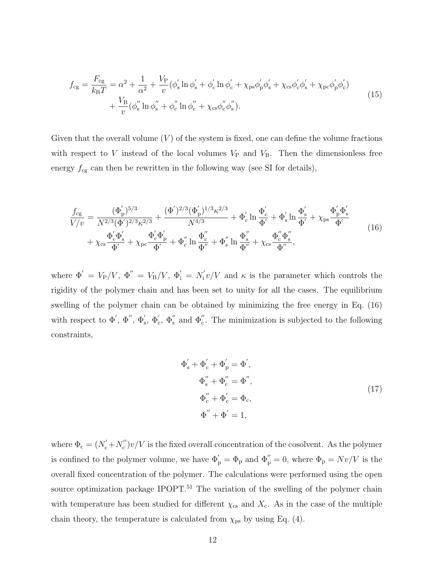$$
f_{cg} = \frac{F_{cg}}{k_B T} = \alpha^2 + \frac{1}{\alpha^2} + \frac{V_P}{v} (\phi_s' \ln \phi_s' + \phi_c' \ln \phi_c' + \chi_{ps} \phi_p' \phi_s' + \chi_{cs} \phi_c' \phi_s' + \chi_{pc} \phi_p' \phi_c') + \frac{V_B}{v} (\phi_s'' \ln \phi_s'' + \phi_c'' \ln \phi_c'' + \chi_{cs} \phi_c'' \phi_s').
$$
\n(15)

Given that the overall volume  $(V)$  of the system is fixed, one can define the volume fractions with respect to V instead of the local volumes  $V_P$  and  $V_B$ . Then the dimensionless free energy  $f_{\rm cg}$  can then be rewritten in the following way (see SI for details),

$$
\frac{f_{cg}}{V/v} = \frac{(\Phi'_p)^{5/3}}{N^{2/3}(\Phi')^{2/3}\kappa^{2/3}} + \frac{(\Phi')^{2/3}(\Phi'_p)^{1/3}\kappa^{2/3}}{N^{4/3}} + \Phi'_c \ln \frac{\Phi'_c}{\Phi'} + \Phi'_s \ln \frac{\Phi'_s}{\Phi'} + \chi_{ps} \frac{\Phi'_p \Phi'_s}{\Phi'} + \chi_{ps} \frac{\Phi'_c \Phi'_s}{\Phi'} + \chi_{cs} \frac{\Phi'_c \Phi'_s}{\Phi'} + \chi_{sc} \frac{\Phi'_c \Phi'_s}{\Phi'} + \chi_{pc} \frac{\Phi'_c \Phi'_p}{\Phi'} + \Phi''_c \ln \frac{\Phi''_c}{\Phi''} + \Phi''_s \ln \frac{\Phi''_s}{\Phi''} + \chi_{cs} \frac{\Phi''_c \Phi''_s}{\Phi''},
$$
\n(16)

where  $\Phi' = V_P/V, \ \Phi'' = V_B/V, \ \Phi'_i = N'_i$  $\int_0^{\infty} v/V$  and  $\kappa$  is the parameter which controls the rigidity of the polymer chain and has been set to unity for all the cases. The equilibrium swelling of the polymer chain can be obtained by minimizing the free energy in Eq. (16) with respect to  $\Phi'$ ,  $\Phi''$ ,  $\Phi'_{\rm s}$ ,  $\Phi'_{\rm c}$ ,  $\Phi''_{\rm s}$  and  $\Phi''_{\rm c}$ . The minimization is subjected to the following constraints,

$$
\Phi'_{s} + \Phi'_{c} + \Phi'_{p} = \Phi',
$$
  
\n
$$
\Phi''_{s} + \Phi''_{c} = \Phi'',
$$
  
\n
$$
\Phi''_{c} + \Phi'_{c} = \Phi_{c},
$$
  
\n
$$
\Phi'' + \Phi' = 1,
$$
\n(17)

where  $\Phi_{\rm c} = (N'_{\rm c} + N''_{\rm c})$  $\binom{n}{c}v/V$  is the fixed overall concentration of the cosolvent. As the polymer is confined to the polymer volume, we have  $\Phi'_{p} = \Phi_{p}$  and  $\Phi''_{p} = 0$ , where  $\Phi_{p} = Nv/V$  is the overall fixed concentration of the polymer. The calculations were performed using the open source optimization package IPOPT.<sup>51</sup> The variation of the swelling of the polymer chain with temperature has been studied for different  $\chi_{cs}$  and  $X_c$ . As in the case of the multiple chain theory, the temperature is calculated from  $\chi_{\rm ps}$  by using Eq. (4).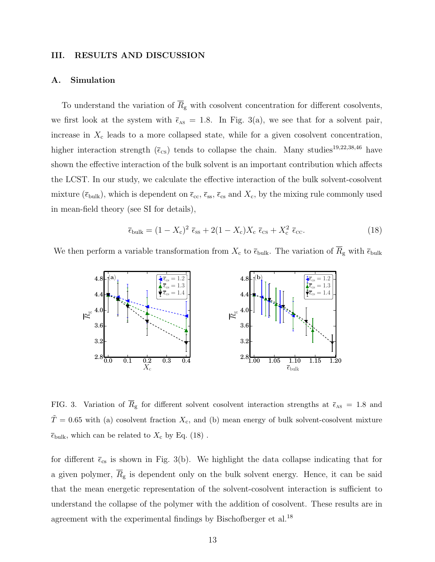#### III. RESULTS AND DISCUSSION

#### A. Simulation

To understand the variation of  $\overline{R}_{g}$  with cosolvent concentration for different cosolvents, we first look at the system with  $\bar{\epsilon}_{AS} = 1.8$ . In Fig. 3(a), we see that for a solvent pair, increase in  $X_c$  leads to a more collapsed state, while for a given cosolvent concentration, higher interaction strength ( $\bar{\epsilon}_{cs}$ ) tends to collapse the chain. Many studies<sup>19,22,38,46</sup> have shown the effective interaction of the bulk solvent is an important contribution which affects the LCST. In our study, we calculate the effective interaction of the bulk solvent-cosolvent mixture ( $\bar{\epsilon}_{\text{bulk}}$ ), which is dependent on  $\bar{\epsilon}_{\text{cc}}$ ,  $\bar{\epsilon}_{\text{ss}}$ ,  $\bar{\epsilon}_{\text{cs}}$  and  $X_{\text{c}}$ , by the mixing rule commonly used in mean-field theory (see SI for details),

$$
\overline{\epsilon}_{\text{bulk}} = (1 - X_{\text{c}})^2 \overline{\epsilon}_{\text{ss}} + 2(1 - X_{\text{c}})X_{\text{c}} \overline{\epsilon}_{\text{cs}} + X_{\text{c}}^2 \overline{\epsilon}_{\text{cc}}.
$$
\n(18)

We then perform a variable transformation from  $X_c$  to  $\bar{\epsilon}_{\text{bulk}}$ . The variation of  $\bar{R}_{\text{g}}$  with  $\bar{\epsilon}_{\text{bulk}}$ 



FIG. 3. Variation of  $\overline{R}_{g}$  for different solvent cosolvent interaction strengths at  $\overline{\epsilon}_{AS} = 1.8$  and  $\tilde{T} = 0.65$  with (a) cosolvent fraction  $X_c$ , and (b) mean energy of bulk solvent-cosolvent mixture  $\overline{\epsilon}_{\text{bulk}}$ , which can be related to  $X_c$  by Eq. (18).

for different  $\bar{\epsilon}_{cs}$  is shown in Fig. 3(b). We highlight the data collapse indicating that for a given polymer,  $\overline{R}_{g}$  is dependent only on the bulk solvent energy. Hence, it can be said that the mean energetic representation of the solvent-cosolvent interaction is sufficient to understand the collapse of the polymer with the addition of cosolvent. These results are in agreement with the experimental findings by Bischofberger et al.<sup>18</sup>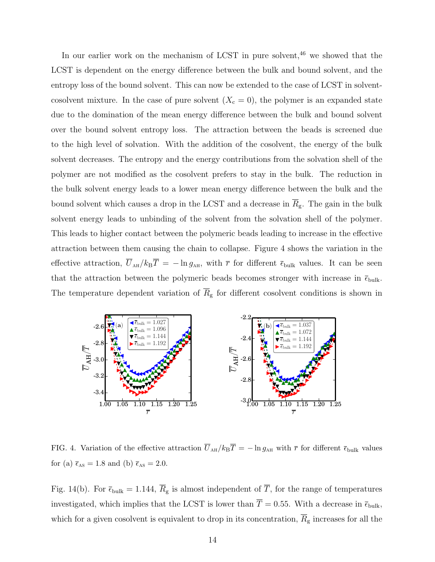In our earlier work on the mechanism of LCST in pure solvent,  $46$  we showed that the LCST is dependent on the energy difference between the bulk and bound solvent, and the entropy loss of the bound solvent. This can now be extended to the case of LCST in solventcosolvent mixture. In the case of pure solvent  $(X_c = 0)$ , the polymer is an expanded state due to the domination of the mean energy difference between the bulk and bound solvent over the bound solvent entropy loss. The attraction between the beads is screened due to the high level of solvation. With the addition of the cosolvent, the energy of the bulk solvent decreases. The entropy and the energy contributions from the solvation shell of the polymer are not modified as the cosolvent prefers to stay in the bulk. The reduction in the bulk solvent energy leads to a lower mean energy difference between the bulk and the bound solvent which causes a drop in the LCST and a decrease in  $\overline{R}_{g}$ . The gain in the bulk solvent energy leads to unbinding of the solvent from the solvation shell of the polymer. This leads to higher contact between the polymeric beads leading to increase in the effective attraction between them causing the chain to collapse. Figure 4 shows the variation in the effective attraction,  $\overline{U}_{AH}/k_BT = -\ln g_{AH}$ , with  $\overline{r}$  for different  $\overline{\epsilon}_{bulk}$  values. It can be seen that the attraction between the polymeric beads becomes stronger with increase in  $\bar{\epsilon}_{\text{bulk}}$ . The temperature dependent variation of  $\overline{R}_{g}$  for different cosolvent conditions is shown in



FIG. 4. Variation of the effective attraction  $\overline{U}_{AH}/k_BT = -\ln g_{AH}$  with  $\overline{r}$  for different  $\overline{\epsilon}_{bulk}$  values for (a)  $\bar{\epsilon}_{\text{AS}} = 1.8$  and (b)  $\bar{\epsilon}_{\text{AS}} = 2.0$ .

Fig. 14(b). For  $\bar{\epsilon}_{\text{bulk}} = 1.144$ ,  $\bar{R}_{\text{g}}$  is almost independent of  $\bar{T}$ , for the range of temperatures investigated, which implies that the LCST is lower than  $\overline{T} = 0.55$ . With a decrease in  $\overline{\epsilon}_{\text{bulk}}$ , which for a given cosolvent is equivalent to drop in its concentration,  $\overline{R}_{g}$  increases for all the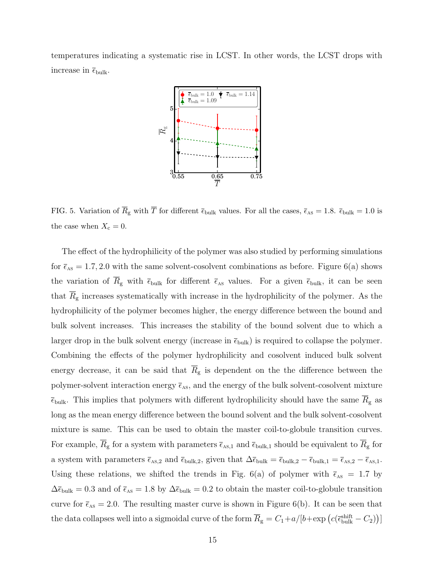temperatures indicating a systematic rise in LCST. In other words, the LCST drops with increase in  $\overline{\epsilon}_{\rm bulk}.$ 



FIG. 5. Variation of  $\overline{R}_{\text{g}}$  with  $\overline{T}$  for different  $\overline{\epsilon}_{\text{bulk}}$  values. For all the cases,  $\overline{\epsilon}_{\text{As}} = 1.8$ .  $\overline{\epsilon}_{\text{bulk}} = 1.0$  is the case when  $X_c = 0$ .

The effect of the hydrophilicity of the polymer was also studied by performing simulations for  $\bar{\epsilon}_{\text{as}} = 1.7, 2.0$  with the same solvent-cosolvent combinations as before. Figure 6(a) shows the variation of  $\overline{R}_{g}$  with  $\overline{\epsilon}_{\text{bulk}}$  for different  $\overline{\epsilon}_{\text{as}}$  values. For a given  $\overline{\epsilon}_{\text{bulk}}$ , it can be seen that  $\overline{R}_{g}$  increases systematically with increase in the hydrophilicity of the polymer. As the hydrophilicity of the polymer becomes higher, the energy difference between the bound and bulk solvent increases. This increases the stability of the bound solvent due to which a larger drop in the bulk solvent energy (increase in  $\bar{\epsilon}_{\text{bulk}}$ ) is required to collapse the polymer. Combining the effects of the polymer hydrophilicity and cosolvent induced bulk solvent energy decrease, it can be said that  $\overline{R}_{g}$  is dependent on the the difference between the polymer-solvent interaction energy  $\bar{\epsilon}_{\text{as}}$ , and the energy of the bulk solvent-cosolvent mixture  $\bar{\epsilon}_{\text{bulk}}$ . This implies that polymers with different hydrophilicity should have the same  $R_{\text{g}}$  as long as the mean energy difference between the bound solvent and the bulk solvent-cosolvent mixture is same. This can be used to obtain the master coil-to-globule transition curves. For example,  $\overline{R}_{g}$  for a system with parameters  $\overline{\epsilon}_{\text{As},1}$  and  $\overline{\epsilon}_{\text{bulk},1}$  should be equivalent to  $\overline{R}_{g}$  for a system with parameters  $\bar{\epsilon}_{\text{As,2}}$  and  $\bar{\epsilon}_{\text{bulk,2}}$ , given that  $\Delta \bar{\epsilon}_{\text{bulk}} = \bar{\epsilon}_{\text{bulk,2}} - \bar{\epsilon}_{\text{bulk,1}} = \bar{\epsilon}_{\text{As,2}} - \bar{\epsilon}_{\text{As,1}}$ . Using these relations, we shifted the trends in Fig. 6(a) of polymer with  $\bar{\epsilon}_{AS}$  = 1.7 by  $\Delta \bar{\epsilon}_{\text{bulk}} = 0.3$  and of  $\bar{\epsilon}_{\text{As}} = 1.8$  by  $\Delta \bar{\epsilon}_{\text{bulk}} = 0.2$  to obtain the master coil-to-globule transition curve for  $\bar{\epsilon}_{AS} = 2.0$ . The resulting master curve is shown in Figure 6(b). It can be seen that the data collapses well into a sigmoidal curve of the form  $\overline{R}_g = C_1 + a/[b + \exp(c(\overline{\epsilon}_{bulk}^{\text{shift}} - C_2))]$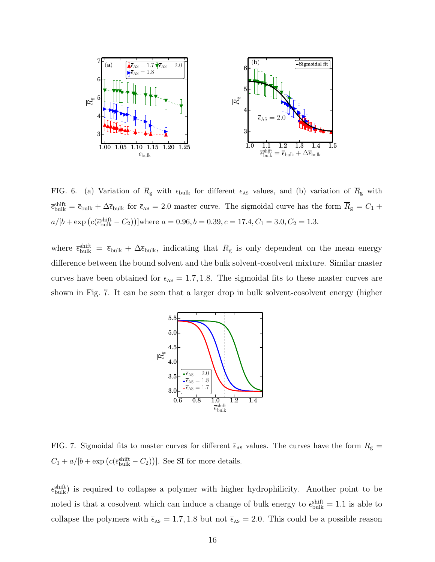

FIG. 6. (a) Variation of  $\overline{R}_{g}$  with  $\overline{\epsilon}_{\text{bulk}}$  for different  $\overline{\epsilon}_{\text{As}}$  values, and (b) variation of  $\overline{R}_{g}$  with  $\bar{\epsilon}_{\text{bulk}}^{\text{shift}} = \bar{\epsilon}_{\text{bulk}} + \Delta \bar{\epsilon}_{\text{bulk}}$  for  $\bar{\epsilon}_{\text{AS}} = 2.0$  master curve. The sigmoidal curve has the form  $\bar{R}_{\text{g}} = C_1 + C_2$  $a/[b + \exp(c(\bar{\epsilon}_{\text{bulk}}^{\text{shift}} - C_2))]$  where  $a = 0.96, b = 0.39, c = 17.4, C_1 = 3.0, C_2 = 1.3.$ 

where  $\bar{\epsilon}_{\text{bulk}}^{\text{shift}} = \bar{\epsilon}_{\text{bulk}} + \Delta \bar{\epsilon}_{\text{bulk}}$ , indicating that  $\bar{R}_{\text{g}}$  is only dependent on the mean energy difference between the bound solvent and the bulk solvent-cosolvent mixture. Similar master curves have been obtained for  $\bar{\epsilon}_{AS} = 1.7, 1.8$ . The sigmoidal fits to these master curves are shown in Fig. 7. It can be seen that a larger drop in bulk solvent-cosolvent energy (higher



FIG. 7. Sigmoidal fits to master curves for different  $\bar{\epsilon}_{AS}$  values. The curves have the form  $\bar{R}_{g}$  =  $C_1 + a/[b + \exp(c(\bar{\epsilon}_{\text{bulk}}^{\text{shift}} - C_2))]$ . See SI for more details.

 $\bar{\epsilon}_{\text{bulk}}^{\text{shift}}$ ) is required to collapse a polymer with higher hydrophilicity. Another point to be noted is that a cosolvent which can induce a change of bulk energy to  $\bar{\epsilon}_{\text{bulk}}^{\text{shift}} = 1.1$  is able to collapse the polymers with  $\bar{\epsilon}_{AS} = 1.7, 1.8$  but not  $\bar{\epsilon}_{AS} = 2.0$ . This could be a possible reason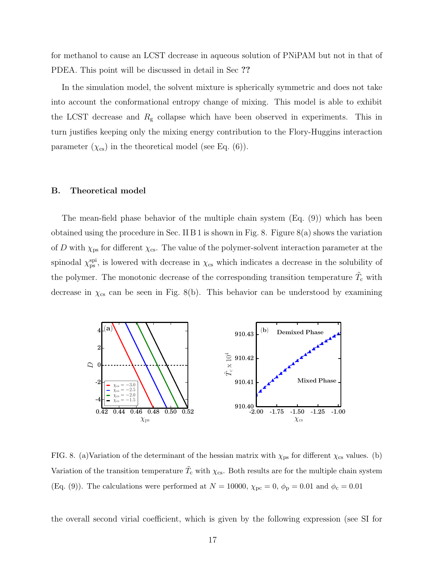for methanol to cause an LCST decrease in aqueous solution of PNiPAM but not in that of PDEA. This point will be discussed in detail in Sec ??

In the simulation model, the solvent mixture is spherically symmetric and does not take into account the conformational entropy change of mixing. This model is able to exhibit the LCST decrease and  $R<sub>g</sub>$  collapse which have been observed in experiments. This in turn justifies keeping only the mixing energy contribution to the Flory-Huggins interaction parameter  $(\chi_{cs})$  in the theoretical model (see Eq. (6)).

#### B. Theoretical model

The mean-field phase behavior of the multiple chain system (Eq. (9)) which has been obtained using the procedure in Sec. II B 1 is shown in Fig. 8. Figure  $8(a)$  shows the variation of D with  $\chi_{\rm ps}$  for different  $\chi_{\rm cs}$ . The value of the polymer-solvent interaction parameter at the spinodal  $\chi_{\rm ps}^{\rm spi}$ , is lowered with decrease in  $\chi_{\rm cs}$  which indicates a decrease in the solubility of the polymer. The monotonic decrease of the corresponding transition temperature  $\tilde{T}_{\text{c}}$  with decrease in  $\chi_{\rm cs}$  can be seen in Fig. 8(b). This behavior can be understood by examining



FIG. 8. (a)Variation of the determinant of the hessian matrix with  $\chi_{ps}$  for different  $\chi_{cs}$  values. (b) Variation of the transition temperature  $\tilde{T}_{\rm c}$  with  $\chi_{\rm cs}$ . Both results are for the multiple chain system (Eq. (9)). The calculations were performed at  $N = 10000$ ,  $\chi_{\text{pc}} = 0$ ,  $\phi_{\text{p}} = 0.01$  and  $\phi_{\text{c}} = 0.01$ 

the overall second virial coefficient, which is given by the following expression (see SI for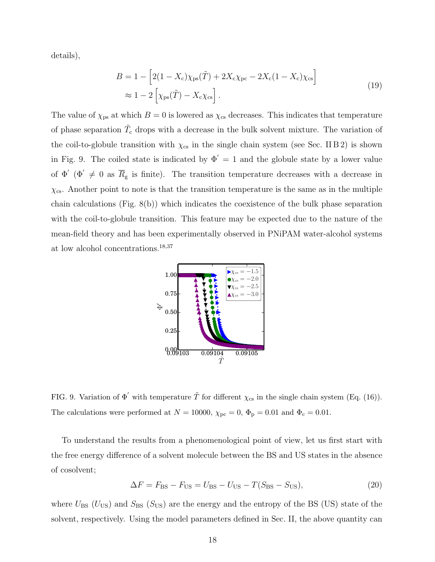details),

$$
B = 1 - \left[2(1 - X_{\rm c})\chi_{\rm ps}(\tilde{T}) + 2X_{\rm c}\chi_{\rm pc} - 2X_{\rm c}(1 - X_{\rm c})\chi_{\rm cs}\right]
$$
  

$$
\approx 1 - 2\left[\chi_{\rm ps}(\tilde{T}) - X_{\rm c}\chi_{\rm cs}\right].
$$
 (19)

The value of  $\chi_{\rm ps}$  at which  $B = 0$  is lowered as  $\chi_{\rm cs}$  decreases. This indicates that temperature of phase separation  $\tilde{T}_{c}$  drops with a decrease in the bulk solvent mixture. The variation of the coil-to-globule transition with  $\chi_{cs}$  in the single chain system (see Sec. IIB2) is shown in Fig. 9. The coiled state is indicated by  $\Phi' = 1$  and the globule state by a lower value of  $\Phi'$  ( $\Phi' \neq 0$  as  $\overline{R}_{g}$  is finite). The transition temperature decreases with a decrease in  $\chi_{\rm cs}$ . Another point to note is that the transition temperature is the same as in the multiple chain calculations (Fig. 8(b)) which indicates the coexistence of the bulk phase separation with the coil-to-globule transition. This feature may be expected due to the nature of the mean-field theory and has been experimentally observed in PNiPAM water-alcohol systems at low alcohol concentrations.18,37



FIG. 9. Variation of  $\Phi'$  with temperature  $\tilde{T}$  for different  $\chi_{cs}$  in the single chain system (Eq. (16)). The calculations were performed at  $N = 10000$ ,  $\chi_{\text{pc}} = 0$ ,  $\Phi_{\text{p}} = 0.01$  and  $\Phi_{\text{c}} = 0.01$ .

To understand the results from a phenomenological point of view, let us first start with the free energy difference of a solvent molecule between the BS and US states in the absence of cosolvent;

$$
\Delta F = F_{\text{BS}} - F_{\text{US}} = U_{\text{BS}} - U_{\text{US}} - T(S_{\text{BS}} - S_{\text{US}}),\tag{20}
$$

where  $U_{BS}$  ( $U_{US}$ ) and  $S_{BS}$  ( $S_{US}$ ) are the energy and the entropy of the BS (US) state of the solvent, respectively. Using the model parameters defined in Sec. II, the above quantity can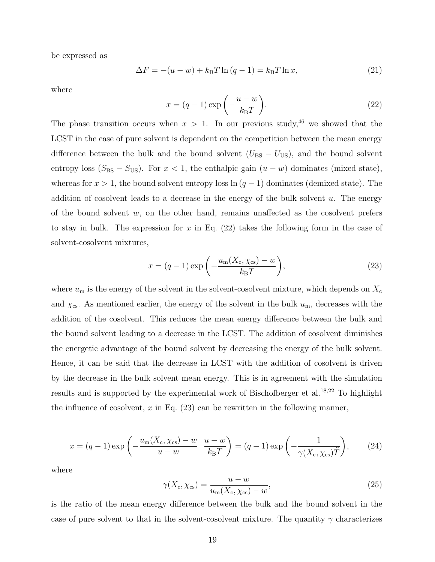be expressed as

$$
\Delta F = -(u - w) + k_{\rm B} T \ln (q - 1) = k_{\rm B} T \ln x,\tag{21}
$$

where

$$
x = (q - 1)\exp\left(-\frac{u - w}{k_{\mathrm{B}}T}\right).
$$
\n(22)

The phase transition occurs when  $x > 1$ . In our previous study,<sup>46</sup> we showed that the LCST in the case of pure solvent is dependent on the competition between the mean energy difference between the bulk and the bound solvent  $(U_{BS} - U_{US})$ , and the bound solvent entropy loss ( $S_{BS} - S_{US}$ ). For  $x < 1$ , the enthalpic gain  $(u - w)$  dominates (mixed state), whereas for  $x > 1$ , the bound solvent entropy loss  $\ln (q - 1)$  dominates (demixed state). The addition of cosolvent leads to a decrease in the energy of the bulk solvent  $u$ . The energy of the bound solvent  $w$ , on the other hand, remains unaffected as the cosolvent prefers to stay in bulk. The expression for x in Eq.  $(22)$  takes the following form in the case of solvent-cosolvent mixtures,

$$
x = (q-1)\exp\left(-\frac{u_{\rm m}(X_{\rm c}, \chi_{\rm cs}) - w}{k_{\rm B}T}\right),\tag{23}
$$

where  $u_{\rm m}$  is the energy of the solvent in the solvent-cosolvent mixture, which depends on  $X_{\rm c}$ and  $\chi_{\rm cs}$ . As mentioned earlier, the energy of the solvent in the bulk  $u_{\rm m}$ , decreases with the addition of the cosolvent. This reduces the mean energy difference between the bulk and the bound solvent leading to a decrease in the LCST. The addition of cosolvent diminishes the energetic advantage of the bound solvent by decreasing the energy of the bulk solvent. Hence, it can be said that the decrease in LCST with the addition of cosolvent is driven by the decrease in the bulk solvent mean energy. This is in agreement with the simulation results and is supported by the experimental work of Bischofberger et al.18,22 To highlight the influence of cosolvent,  $x$  in Eq. (23) can be rewritten in the following manner,

$$
x = (q-1)\exp\left(-\frac{u_m(X_c, \chi_{cs}) - w}{u - w} \frac{u - w}{k_B T}\right) = (q-1)\exp\left(-\frac{1}{\gamma(X_c, \chi_{cs})\tilde{T}}\right),\tag{24}
$$

where

$$
\gamma(X_{\rm c}, \chi_{\rm cs}) = \frac{u - w}{u_{\rm m}(X_{\rm c}, \chi_{\rm cs}) - w},\tag{25}
$$

is the ratio of the mean energy difference between the bulk and the bound solvent in the case of pure solvent to that in the solvent-cosolvent mixture. The quantity  $\gamma$  characterizes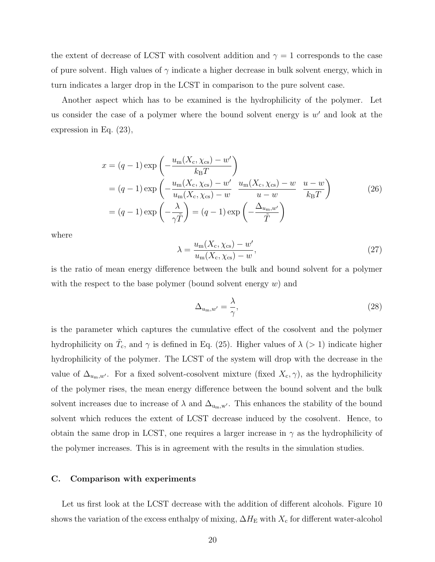the extent of decrease of LCST with cosolvent addition and  $\gamma = 1$  corresponds to the case of pure solvent. High values of  $\gamma$  indicate a higher decrease in bulk solvent energy, which in turn indicates a larger drop in the LCST in comparison to the pure solvent case.

Another aspect which has to be examined is the hydrophilicity of the polymer. Let us consider the case of a polymer where the bound solvent energy is  $w'$  and look at the expression in Eq. (23),

$$
x = (q - 1) \exp\left(-\frac{u_m(X_c, \chi_{cs}) - w'}{k_B T}\right)
$$
  
=  $(q - 1) \exp\left(-\frac{u_m(X_c, \chi_{cs}) - w'}{u_m(X_c, \chi_{cs}) - w} \frac{u_m(X_c, \chi_{cs}) - w}{u - w} \frac{u - w}{k_B T}\right)$  (26)  
=  $(q - 1) \exp\left(-\frac{\lambda}{\gamma \tilde{T}}\right) = (q - 1) \exp\left(-\frac{\Delta_{u_m, w'}}{\tilde{T}}\right)$ 

where

$$
\lambda = \frac{u_{\rm m}(X_{\rm c}, \chi_{\rm cs}) - w'}{u_{\rm m}(X_{\rm c}, \chi_{\rm cs}) - w},\tag{27}
$$

is the ratio of mean energy difference between the bulk and bound solvent for a polymer with the respect to the base polymer (bound solvent energy  $w$ ) and

$$
\Delta_{u_{\rm m},w'} = \frac{\lambda}{\gamma},\tag{28}
$$

is the parameter which captures the cumulative effect of the cosolvent and the polymer hydrophilicity on  $\tilde{T}_{c}$ , and  $\gamma$  is defined in Eq. (25). Higher values of  $\lambda$  (> 1) indicate higher hydrophilicity of the polymer. The LCST of the system will drop with the decrease in the value of  $\Delta_{u_m,w'}$ . For a fixed solvent-cosolvent mixture (fixed  $X_c, \gamma$ ), as the hydrophilicity of the polymer rises, the mean energy difference between the bound solvent and the bulk solvent increases due to increase of  $\lambda$  and  $\Delta_{u_m,w'}$ . This enhances the stability of the bound solvent which reduces the extent of LCST decrease induced by the cosolvent. Hence, to obtain the same drop in LCST, one requires a larger increase in  $\gamma$  as the hydrophilicity of the polymer increases. This is in agreement with the results in the simulation studies.

#### C. Comparison with experiments

Let us first look at the LCST decrease with the addition of different alcohols. Figure 10 shows the variation of the excess enthalpy of mixing,  $\Delta H_{\rm E}$  with  $X_{\rm c}$  for different water-alcohol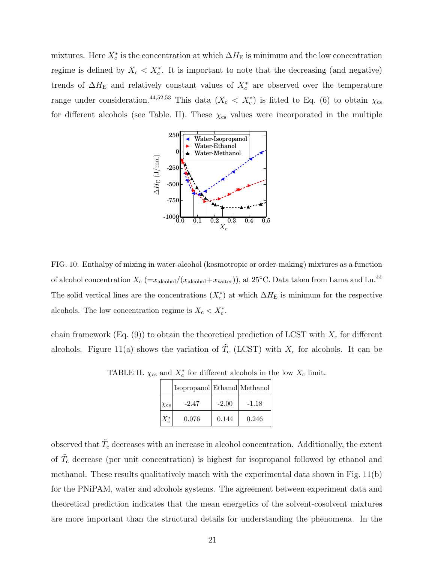mixtures. Here  $X_c^*$  is the concentration at which  $\Delta H_E$  is minimum and the low concentration regime is defined by  $X_c < X_c^*$ . It is important to note that the decreasing (and negative) trends of  $\Delta H_{\rm E}$  and relatively constant values of  $X_{\rm c}^*$  are observed over the temperature range under consideration.<sup>44,52,53</sup> This data ( $X_c < X_c^*$ ) is fitted to Eq. (6) to obtain  $\chi_{cs}$ for different alcohols (see Table. II). These  $\chi_{cs}$  values were incorporated in the multiple



FIG. 10. Enthalpy of mixing in water-alcohol (kosmotropic or order-making) mixtures as a function of alcohol concentration  $X_c$  (= $x_{\text{alcohol}}/(x_{\text{alcohol}}+x_{\text{water}})$ ), at 25°C. Data taken from Lama and Lu.<sup>44</sup> The solid vertical lines are the concentrations  $(X_c^*)$  at which  $\Delta H_{\rm E}$  is minimum for the respective alcohols. The low concentration regime is  $X_c < X_c^*$ .

chain framework  $(Eq. (9))$  to obtain the theoretical prediction of LCST with  $X_c$  for different alcohols. Figure 11(a) shows the variation of  $\tilde{T}_{c}$  (LCST) with  $X_{c}$  for alcohols. It can be

|                 | Isopropanol Ethanol Methanol |         |         |
|-----------------|------------------------------|---------|---------|
| $\chi_{\rm cs}$ | $-2.47$                      | $-2.00$ | $-1.18$ |
|                 | 0.076                        | 0.144   | 0.246   |

TABLE II.  $\chi_{\text{cs}}$  and  $X_{\text{c}}^*$  for different alcohols in the low  $X_{\text{c}}$  limit.

observed that  $\tilde{T}_{\text{c}}$  decreases with an increase in alcohol concentration. Additionally, the extent of  $\tilde{T}_{c}$  decrease (per unit concentration) is highest for isopropanol followed by ethanol and methanol. These results qualitatively match with the experimental data shown in Fig. 11(b) for the PNiPAM, water and alcohols systems. The agreement between experiment data and theoretical prediction indicates that the mean energetics of the solvent-cosolvent mixtures are more important than the structural details for understanding the phenomena. In the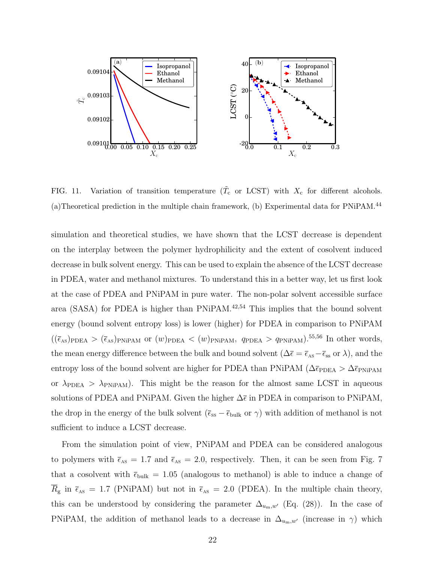

FIG. 11. Variation of transition temperature  $(\tilde{T}_{c}$  or LCST) with  $X_{c}$  for different alcohols. (a)Theoretical prediction in the multiple chain framework, (b) Experimental data for PNiPAM.<sup>44</sup>

simulation and theoretical studies, we have shown that the LCST decrease is dependent on the interplay between the polymer hydrophilicity and the extent of cosolvent induced decrease in bulk solvent energy. This can be used to explain the absence of the LCST decrease in PDEA, water and methanol mixtures. To understand this in a better way, let us first look at the case of PDEA and PNiPAM in pure water. The non-polar solvent accessible surface area (SASA) for PDEA is higher than PNiPAM.42,54 This implies that the bound solvent energy (bound solvent entropy loss) is lower (higher) for PDEA in comparison to PNiPAM  $((\bar{\epsilon}_{AS})_{PDEA} > (\bar{\epsilon}_{AS})_{PNiPAM}$  or  $(w)_{PDEA} < (w)_{PNiPAM}$ ,  $q_{PDEA} > q_{PNiPAM}$ .<sup>55,56</sup> In other words, the mean energy difference between the bulk and bound solvent ( $\Delta \bar{\epsilon} = \bar{\epsilon}_{AS} - \bar{\epsilon}_{SS}$  or  $\lambda$ ), and the entropy loss of the bound solvent are higher for PDEA than PNiPAM ( $\Delta \bar{\epsilon}_{\text{PDEA}} > \Delta \bar{\epsilon}_{\text{PNIPAM}}$ or  $\lambda_{\text{PDEA}} > \lambda_{\text{PNiPAM}}$ . This might be the reason for the almost same LCST in aqueous solutions of PDEA and PNiPAM. Given the higher  $\Delta \bar{\epsilon}$  in PDEA in comparison to PNiPAM, the drop in the energy of the bulk solvent ( $\bar{\epsilon}_{ss} - \bar{\epsilon}_{bulk}$  or  $\gamma$ ) with addition of methanol is not sufficient to induce a LCST decrease.

From the simulation point of view, PNiPAM and PDEA can be considered analogous to polymers with  $\bar{\epsilon}_{AS} = 1.7$  and  $\bar{\epsilon}_{AS} = 2.0$ , respectively. Then, it can be seen from Fig. 7 that a cosolvent with  $\bar{\epsilon}_{\text{bulk}} = 1.05$  (analogous to methanol) is able to induce a change of  $\overline{R}_{\rm g}$  in  $\overline{\epsilon}_{\rm As} = 1.7$  (PNiPAM) but not in  $\overline{\epsilon}_{\rm As} = 2.0$  (PDEA). In the multiple chain theory, this can be understood by considering the parameter  $\Delta_{u_m,w'}$  (Eq. (28)). In the case of PNIPAM, the addition of methanol leads to a decrease in  $\Delta_{u_m,v'}$  (increase in  $\gamma$ ) which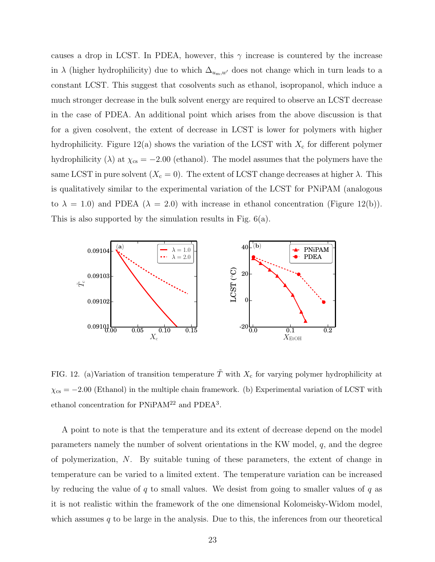causes a drop in LCST. In PDEA, however, this  $\gamma$  increase is countered by the increase in  $\lambda$  (higher hydrophilicity) due to which  $\Delta_{u_m,w'}$  does not change which in turn leads to a constant LCST. This suggest that cosolvents such as ethanol, isopropanol, which induce a much stronger decrease in the bulk solvent energy are required to observe an LCST decrease in the case of PDEA. An additional point which arises from the above discussion is that for a given cosolvent, the extent of decrease in LCST is lower for polymers with higher hydrophilicity. Figure 12(a) shows the variation of the LCST with  $X_c$  for different polymer hydrophilicity ( $\lambda$ ) at  $\chi_{cs} = -2.00$  (ethanol). The model assumes that the polymers have the same LCST in pure solvent  $(X_c = 0)$ . The extent of LCST change decreases at higher  $\lambda$ . This is qualitatively similar to the experimental variation of the LCST for PNiPAM (analogous to  $\lambda = 1.0$ ) and PDEA ( $\lambda = 2.0$ ) with increase in ethanol concentration (Figure 12(b)). This is also supported by the simulation results in Fig. 6(a).



FIG. 12. (a)Variation of transition temperature  $\tilde{T}$  with  $X_c$  for varying polymer hydrophilicity at  $\chi_{\text{cs}} = -2.00$  (Ethanol) in the multiple chain framework. (b) Experimental variation of LCST with ethanol concentration for  $PNiPAM<sup>22</sup>$  and  $PDEA<sup>3</sup>$ .

A point to note is that the temperature and its extent of decrease depend on the model parameters namely the number of solvent orientations in the KW model, q, and the degree of polymerization, N. By suitable tuning of these parameters, the extent of change in temperature can be varied to a limited extent. The temperature variation can be increased by reducing the value of  $q$  to small values. We desist from going to smaller values of  $q$  as it is not realistic within the framework of the one dimensional Kolomeisky-Widom model, which assumes  $q$  to be large in the analysis. Due to this, the inferences from our theoretical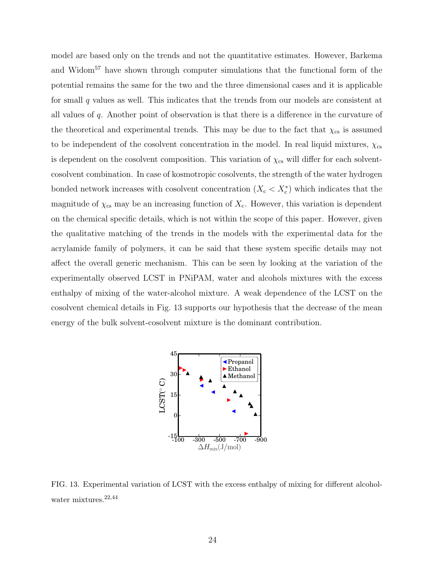model are based only on the trends and not the quantitative estimates. However, Barkema and Widom<sup>57</sup> have shown through computer simulations that the functional form of the potential remains the same for the two and the three dimensional cases and it is applicable for small q values as well. This indicates that the trends from our models are consistent at all values of q. Another point of observation is that there is a difference in the curvature of the theoretical and experimental trends. This may be due to the fact that  $\chi_{cs}$  is assumed to be independent of the cosolvent concentration in the model. In real liquid mixtures,  $\chi_{cs}$ is dependent on the cosolvent composition. This variation of  $\chi_{cs}$  will differ for each solventcosolvent combination. In case of kosmotropic cosolvents, the strength of the water hydrogen bonded network increases with cosolvent concentration  $(X_c < X_c^*)$  which indicates that the magnitude of  $\chi_{\rm cs}$  may be an increasing function of  $X_c$ . However, this variation is dependent on the chemical specific details, which is not within the scope of this paper. However, given the qualitative matching of the trends in the models with the experimental data for the acrylamide family of polymers, it can be said that these system specific details may not affect the overall generic mechanism. This can be seen by looking at the variation of the experimentally observed LCST in PNiPAM, water and alcohols mixtures with the excess enthalpy of mixing of the water-alcohol mixture. A weak dependence of the LCST on the cosolvent chemical details in Fig. 13 supports our hypothesis that the decrease of the mean energy of the bulk solvent-cosolvent mixture is the dominant contribution.



FIG. 13. Experimental variation of LCST with the excess enthalpy of mixing for different alcoholwater mixtures.<sup>22,44</sup>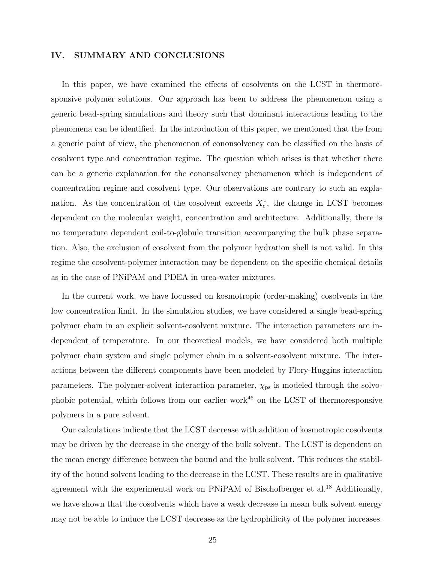#### IV. SUMMARY AND CONCLUSIONS

In this paper, we have examined the effects of cosolvents on the LCST in thermoresponsive polymer solutions. Our approach has been to address the phenomenon using a generic bead-spring simulations and theory such that dominant interactions leading to the phenomena can be identified. In the introduction of this paper, we mentioned that the from a generic point of view, the phenomenon of cononsolvency can be classified on the basis of cosolvent type and concentration regime. The question which arises is that whether there can be a generic explanation for the cononsolvency phenomenon which is independent of concentration regime and cosolvent type. Our observations are contrary to such an explanation. As the concentration of the cosolvent exceeds  $X_{\rm c}^*$ , the change in LCST becomes dependent on the molecular weight, concentration and architecture. Additionally, there is no temperature dependent coil-to-globule transition accompanying the bulk phase separation. Also, the exclusion of cosolvent from the polymer hydration shell is not valid. In this regime the cosolvent-polymer interaction may be dependent on the specific chemical details as in the case of PNiPAM and PDEA in urea-water mixtures.

In the current work, we have focussed on kosmotropic (order-making) cosolvents in the low concentration limit. In the simulation studies, we have considered a single bead-spring polymer chain in an explicit solvent-cosolvent mixture. The interaction parameters are independent of temperature. In our theoretical models, we have considered both multiple polymer chain system and single polymer chain in a solvent-cosolvent mixture. The interactions between the different components have been modeled by Flory-Huggins interaction parameters. The polymer-solvent interaction parameter,  $\chi_{\text{ps}}$  is modeled through the solvophobic potential, which follows from our earlier work $46$  on the LCST of thermoresponsive polymers in a pure solvent.

Our calculations indicate that the LCST decrease with addition of kosmotropic cosolvents may be driven by the decrease in the energy of the bulk solvent. The LCST is dependent on the mean energy difference between the bound and the bulk solvent. This reduces the stability of the bound solvent leading to the decrease in the LCST. These results are in qualitative agreement with the experimental work on PNiPAM of Bischofberger et al.<sup>18</sup> Additionally, we have shown that the cosolvents which have a weak decrease in mean bulk solvent energy may not be able to induce the LCST decrease as the hydrophilicity of the polymer increases.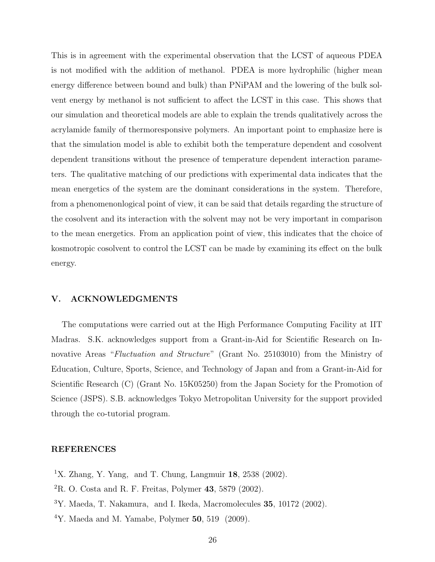This is in agreement with the experimental observation that the LCST of aqueous PDEA is not modified with the addition of methanol. PDEA is more hydrophilic (higher mean energy difference between bound and bulk) than PNiPAM and the lowering of the bulk solvent energy by methanol is not sufficient to affect the LCST in this case. This shows that our simulation and theoretical models are able to explain the trends qualitatively across the acrylamide family of thermoresponsive polymers. An important point to emphasize here is that the simulation model is able to exhibit both the temperature dependent and cosolvent dependent transitions without the presence of temperature dependent interaction parameters. The qualitative matching of our predictions with experimental data indicates that the mean energetics of the system are the dominant considerations in the system. Therefore, from a phenomenonlogical point of view, it can be said that details regarding the structure of the cosolvent and its interaction with the solvent may not be very important in comparison to the mean energetics. From an application point of view, this indicates that the choice of kosmotropic cosolvent to control the LCST can be made by examining its effect on the bulk energy.

#### V. ACKNOWLEDGMENTS

The computations were carried out at the High Performance Computing Facility at IIT Madras. S.K. acknowledges support from a Grant-in-Aid for Scientific Research on Innovative Areas "Fluctuation and Structure" (Grant No. 25103010) from the Ministry of Education, Culture, Sports, Science, and Technology of Japan and from a Grant-in-Aid for Scientific Research (C) (Grant No. 15K05250) from the Japan Society for the Promotion of Science (JSPS). S.B. acknowledges Tokyo Metropolitan University for the support provided through the co-tutorial program.

#### REFERENCES

- <sup>1</sup>X. Zhang, Y. Yang, and T. Chung, Langmuir **18**, 2538 (2002).
- ${}^{2}$ R. O. Costa and R. F. Freitas, Polymer 43, 5879 (2002).
- <sup>3</sup>Y. Maeda, T. Nakamura, and I. Ikeda, Macromolecules 35, 10172 (2002).
- $4$ Y. Maeda and M. Yamabe, Polymer 50, 519 (2009).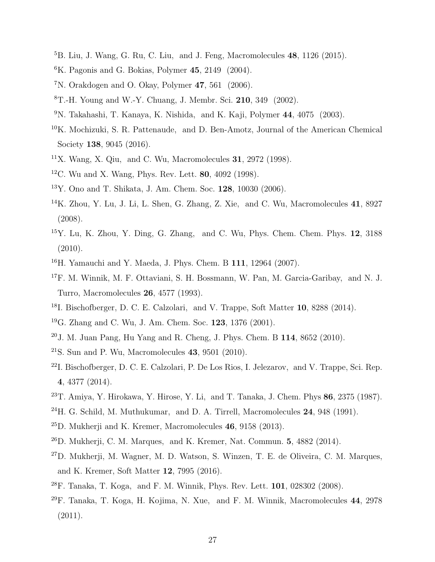- ${}^{5}$ B. Liu, J. Wang, G. Ru, C. Liu, and J. Feng, Macromolecules 48, 1126 (2015).
- ${}^{6}$ K. Pagonis and G. Bokias, Polymer 45, 2149 (2004).
- ${}^{7}$ N. Orakdogen and O. Okay, Polymer 47, 561 (2006).
- ${}^{8}$ T.-H. Young and W.-Y. Chuang, J. Membr. Sci. 210, 349 (2002).
- $9N.$  Takahashi, T. Kanaya, K. Nishida, and K. Kaji, Polymer 44, 4075 (2003).
- <sup>10</sup>K. Mochizuki, S. R. Pattenaude, and D. Ben-Amotz, Journal of the American Chemical Society **138**, 9045 (2016).
- <sup>11</sup>X. Wang, X. Qiu, and C. Wu, Macromolecules **31**, 2972 (1998).
- <sup>12</sup>C. Wu and X. Wang, Phys. Rev. Lett. **80**, 4092 (1998).
- <sup>13</sup>Y. Ono and T. Shikata, J. Am. Chem. Soc. 128, 10030 (2006).
- <sup>14</sup>K. Zhou, Y. Lu, J. Li, L. Shen, G. Zhang, Z. Xie, and C. Wu, Macromolecules 41, 8927 (2008).
- $15$ Y. Lu, K. Zhou, Y. Ding, G. Zhang, and C. Wu, Phys. Chem. Chem. Phys.  $12$ ,  $3188$ (2010).
- <sup>16</sup>H. Yamauchi and Y. Maeda, J. Phys. Chem. B 111, 12964 (2007).
- <sup>17</sup>F. M. Winnik, M. F. Ottaviani, S. H. Bossmann, W. Pan, M. Garcia-Garibay, and N. J. Turro, Macromolecules 26, 4577 (1993).
- <sup>18</sup>I. Bischofberger, D. C. E. Calzolari, and V. Trappe, Soft Matter 10, 8288 (2014).
- <sup>19</sup>G. Zhang and C. Wu, J. Am. Chem. Soc. **123**, 1376 (2001).
- $20$ J. M. Juan Pang, Hu Yang and R. Cheng, J. Phys. Chem. B 114, 8652 (2010).
- <sup>21</sup>S. Sun and P. Wu, Macromolecules **43**, 9501 (2010).
- <sup>22</sup>I. Bischofberger, D. C. E. Calzolari, P. De Los Rios, I. Jelezarov, and V. Trappe, Sci. Rep. 4, 4377 (2014).
- $23$ T. Amiya, Y. Hirokawa, Y. Hirose, Y. Li, and T. Tanaka, J. Chem. Phys 86, 2375 (1987).
- $^{24}$ H. G. Schild, M. Muthukumar, and D. A. Tirrell, Macromolecules 24, 948 (1991).
- $^{25}$ D. Mukherji and K. Kremer, Macromolecules 46, 9158 (2013).
- $^{26}$ D. Mukherji, C. M. Marques, and K. Kremer, Nat. Commun. 5, 4882 (2014).
- $^{27}$ D. Mukherji, M. Wagner, M. D. Watson, S. Winzen, T. E. de Oliveira, C. M. Marques, and K. Kremer, Soft Matter 12, 7995 (2016).
- <sup>28</sup>F. Tanaka, T. Koga, and F. M. Winnik, Phys. Rev. Lett. 101, 028302 (2008).
- <sup>29</sup>F. Tanaka, T. Koga, H. Kojima, N. Xue, and F. M. Winnik, Macromolecules 44, 2978 (2011).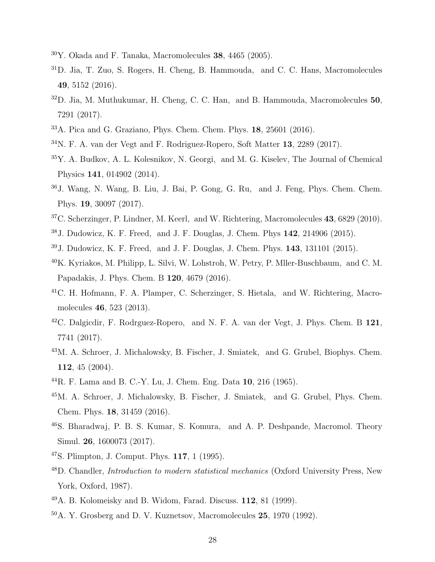- Y. Okada and F. Tanaka, Macromolecules 38, 4465 (2005).
- D. Jia, T. Zuo, S. Rogers, H. Cheng, B. Hammouda, and C. C. Hans, Macromolecules , 5152 (2016).
- $32D$ . Jia, M. Muthukumar, H. Cheng, C. C. Han, and B. Hammouda, Macromolecules 50, 7291 (2017).
- A. Pica and G. Graziano, Phys. Chem. Chem. Phys. 18, 25601 (2016).
- N. F. A. van der Vegt and F. Rodriguez-Ropero, Soft Matter 13, 2289 (2017).
- Y. A. Budkov, A. L. Kolesnikov, N. Georgi, and M. G. Kiselev, The Journal of Chemical Physics 141, 014902 (2014).
- J. Wang, N. Wang, B. Liu, J. Bai, P. Gong, G. Ru, and J. Feng, Phys. Chem. Chem. Phys. 19, 30097 (2017).
- <sup>37</sup>C. Scherzinger, P. Lindner, M. Keerl, and W. Richtering, Macromolecules **43**, 6829 (2010).
- J. Dudowicz, K. F. Freed, and J. F. Douglas, J. Chem. Phys 142, 214906 (2015).
- J. Dudowicz, K. F. Freed, and J. F. Douglas, J. Chem. Phys. 143, 131101 (2015).
- K. Kyriakos, M. Philipp, L. Silvi, W. Lohstroh, W. Petry, P. Mller-Buschbaum, and C. M. Papadakis, J. Phys. Chem. B 120, 4679 (2016).
- C. H. Hofmann, F. A. Plamper, C. Scherzinger, S. Hietala, and W. Richtering, Macromolecules 46, 523 (2013).
- $^{42}$ C. Dalgicdir, F. Rodrguez-Ropero, and N. F. A. van der Vegt, J. Phys. Chem. B  $121$ , 7741 (2017).
- M. A. Schroer, J. Michalowsky, B. Fischer, J. Smiatek, and G. Grubel, Biophys. Chem. , 45 (2004).
- R. F. Lama and B. C.-Y. Lu, J. Chem. Eng. Data 10, 216 (1965).
- M. A. Schroer, J. Michalowsky, B. Fischer, J. Smiatek, and G. Grubel, Phys. Chem. Chem. Phys. 18, 31459 (2016).
- S. Bharadwaj, P. B. S. Kumar, S. Komura, and A. P. Deshpande, Macromol. Theory Simul. 26, 1600073 (2017).
- S. Plimpton, J. Comput. Phys. 117, 1 (1995).
- D. Chandler, Introduction to modern statistical mechanics (Oxford University Press, New York, Oxford, 1987).
- A. B. Kolomeisky and B. Widom, Farad. Discuss. 112, 81 (1999).
- A. Y. Grosberg and D. V. Kuznetsov, Macromolecules 25, 1970 (1992).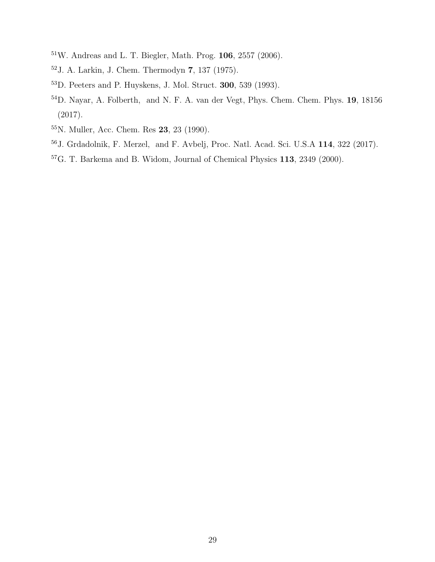- W. Andreas and L. T. Biegler, Math. Prog. 106, 2557 (2006).
- J. A. Larkin, J. Chem. Thermodyn 7, 137 (1975).
- D. Peeters and P. Huyskens, J. Mol. Struct. 300, 539 (1993).
- D. Nayar, A. Folberth, and N. F. A. van der Vegt, Phys. Chem. Chem. Phys. 19, 18156 (2017).
- N. Muller, Acc. Chem. Res 23, 23 (1990).
- J. Grdadolnik, F. Merzel, and F. Avbelj, Proc. Natl. Acad. Sci. U.S.A 114, 322 (2017).
- G. T. Barkema and B. Widom, Journal of Chemical Physics 113, 2349 (2000).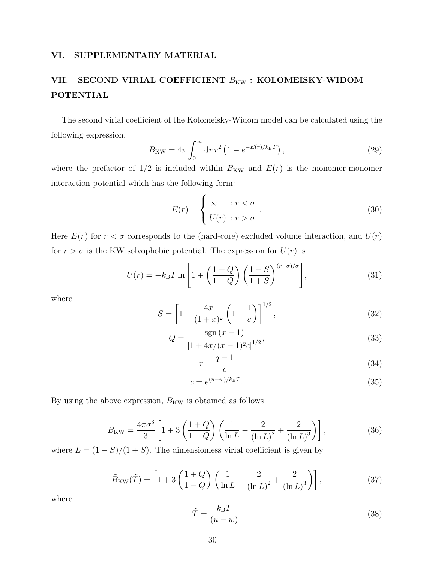#### VI. SUPPLEMENTARY MATERIAL

## VII. SECOND VIRIAL COEFFICIENT  $B_{\text{KW}}$ : KOLOMEISKY-WIDOM POTENTIAL

The second virial coefficient of the Kolomeisky-Widom model can be calculated using the following expression,

$$
B_{\rm KW} = 4\pi \int_0^\infty dr \, r^2 \left( 1 - e^{-E(r)/k_{\rm B}T} \right),\tag{29}
$$

where the prefactor of  $1/2$  is included within  $B_{\text{KW}}$  and  $E(r)$  is the monomer-monomer interaction potential which has the following form:

$$
E(r) = \begin{cases} \infty & \text{if } r < \sigma \\ U(r) & \text{if } r > \sigma \end{cases} \tag{30}
$$

Here  $E(r)$  for  $r < \sigma$  corresponds to the (hard-core) excluded volume interaction, and  $U(r)$ for  $r > \sigma$  is the KW solvophobic potential. The expression for  $U(r)$  is

$$
U(r) = -k_{\rm B}T\ln\left[1 + \left(\frac{1+Q}{1-Q}\right)\left(\frac{1-S}{1+S}\right)^{(r-\sigma)/\sigma}\right],\tag{31}
$$

where

$$
S = \left[1 - \frac{4x}{(1+x)^2} \left(1 - \frac{1}{c}\right)\right]^{1/2},\tag{32}
$$

$$
Q = \frac{\operatorname{sgn}(x-1)}{\left[1 + 4x/(x-1)^2 c\right]^{1/2}},\tag{33}
$$

$$
x = \frac{q-1}{c} \tag{34}
$$

$$
c = e^{(u-w)/k_{\rm B}T}.\tag{35}
$$

By using the above expression,  $B_{\text{KW}}$  is obtained as follows

$$
B_{\rm KW} = \frac{4\pi\sigma^3}{3} \left[ 1 + 3\left(\frac{1+Q}{1-Q}\right) \left(\frac{1}{\ln L} - \frac{2}{(\ln L)^2} + \frac{2}{(\ln L)^3}\right) \right],\tag{36}
$$

where  $L = (1 - S)/(1 + S)$ . The dimensionless virial coefficient is given by

$$
\tilde{B}_{\text{KW}}(\tilde{T}) = \left[1 + 3\left(\frac{1+Q}{1-Q}\right)\left(\frac{1}{\ln L} - \frac{2}{(\ln L)^2} + \frac{2}{(\ln L)^3}\right)\right],\tag{37}
$$

where

$$
\tilde{T} = \frac{k_{\rm B}T}{(u - w)}.\tag{38}
$$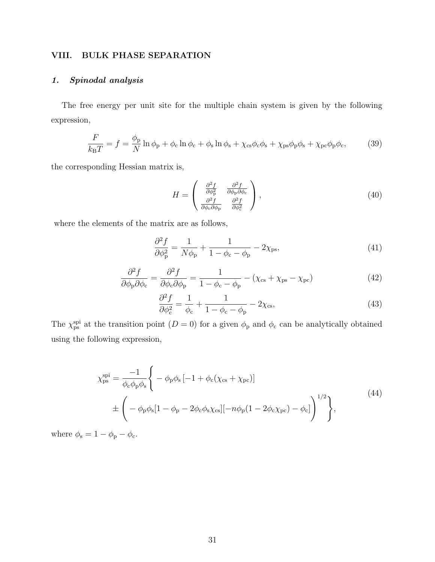#### VIII. BULK PHASE SEPARATION

## 1. Spinodal analysis

The free energy per unit site for the multiple chain system is given by the following expression,

$$
\frac{F}{k_{\rm B}T} = f = \frac{\phi_{\rm p}}{N} \ln \phi_{\rm p} + \phi_{\rm c} \ln \phi_{\rm c} + \phi_{\rm s} \ln \phi_{\rm s} + \chi_{\rm cs} \phi_{\rm c} \phi_{\rm s} + \chi_{\rm ps} \phi_{\rm p} \phi_{\rm s} + \chi_{\rm pc} \phi_{\rm p} \phi_{\rm c},\tag{39}
$$

the corresponding Hessian matrix is,

$$
H = \begin{pmatrix} \frac{\partial^2 f}{\partial \phi_p^2} & \frac{\partial^2 f}{\partial \phi_p \partial \phi_c} \\ \frac{\partial^2 f}{\partial \phi_c \partial \phi_p} & \frac{\partial^2 f}{\partial \phi_c^2} \end{pmatrix},
$$
(40)

where the elements of the matrix are as follows,

$$
\frac{\partial^2 f}{\partial \phi_{\mathbf{p}}^2} = \frac{1}{N\phi_{\mathbf{p}}} + \frac{1}{1 - \phi_{\mathbf{c}} - \phi_{\mathbf{p}}} - 2\chi_{\mathbf{ps}},\tag{41}
$$

$$
\frac{\partial^2 f}{\partial \phi_p \partial \phi_c} = \frac{\partial^2 f}{\partial \phi_c \partial \phi_p} = \frac{1}{1 - \phi_c - \phi_p} - (\chi_{cs} + \chi_{ps} - \chi_{pc})
$$
(42)

$$
\frac{\partial^2 f}{\partial \phi_c^2} = \frac{1}{\phi_c} + \frac{1}{1 - \phi_c - \phi_p} - 2\chi_{\rm cs},\tag{43}
$$

The  $\chi_{\rm ps}^{\rm spi}$  at the transition point  $(D = 0)$  for a given  $\phi_{\rm p}$  and  $\phi_{\rm c}$  can be analytically obtained using the following expression,

$$
\chi_{\rm ps}^{\rm spi} = \frac{-1}{\phi_{\rm c}\phi_{\rm p}\phi_{\rm s}} \Bigg\{ -\phi_{\rm p}\phi_{\rm s} \left[ -1 + \phi_{\rm c}(\chi_{\rm cs} + \chi_{\rm pc}) \right] \pm \Bigg( -\phi_{\rm p}\phi_{\rm s} [1 - \phi_{\rm p} - 2\phi_{\rm c}\phi_{\rm s}\chi_{\rm cs}] [-n\phi_{\rm p}(1 - 2\phi_{\rm c}\chi_{\rm pc}) - \phi_{\rm c}] \Bigg)^{1/2} \Bigg\},
$$
\n(44)

where  $\phi_{\rm s}=1-\phi_{\rm p}-\phi_{\rm c}.$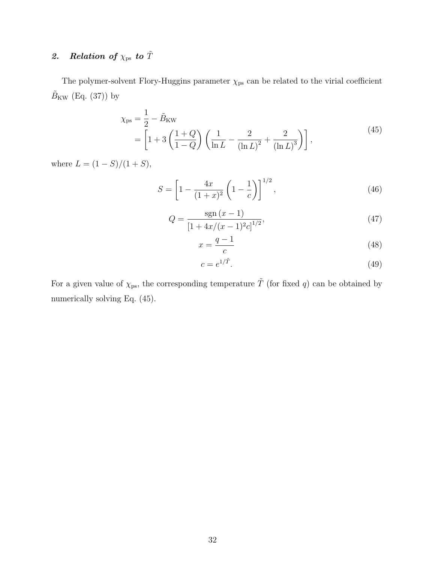# 2. Relation of  $\chi_{\rm ps}$  to  $\tilde{T}$

The polymer-solvent Flory-Huggins parameter  $\chi_\mathrm{ps}$  can be related to the virial coefficient  $\tilde{B}_{\rm KW}$  (Eq. (37)) by

$$
\chi_{\rm ps} = \frac{1}{2} - \tilde{B}_{\rm KW} \n= \left[ 1 + 3 \left( \frac{1+Q}{1-Q} \right) \left( \frac{1}{\ln L} - \frac{2}{(\ln L)^2} + \frac{2}{(\ln L)^3} \right) \right],
$$
\n(45)

where  $L = (1 - S)/(1 + S)$ ,

$$
S = \left[1 - \frac{4x}{(1+x)^2} \left(1 - \frac{1}{c}\right)\right]^{1/2},\tag{46}
$$

$$
Q = \frac{\operatorname{sgn}(x-1)}{\left[1 + \frac{4x}{(x-1)^2 c}\right]^{1/2}},\tag{47}
$$

$$
x = \frac{q-1}{c} \tag{48}
$$

$$
c = e^{1/\tilde{T}}.\tag{49}
$$

For a given value of  $\chi_{\rm ps}$ , the corresponding temperature  $\tilde{T}$  (for fixed q) can be obtained by numerically solving Eq.  $(45)$ .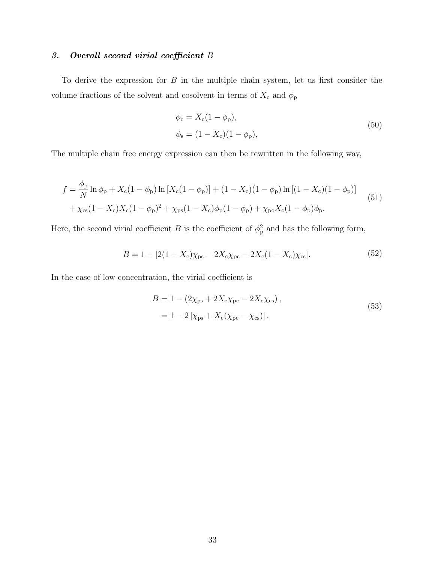## 3. Overall second virial coefficient B

To derive the expression for  $B$  in the multiple chain system, let us first consider the volume fractions of the solvent and cosolvent in terms of  $X_c$  and  $\phi_p$ 

$$
\phi_c = X_c (1 - \phi_p), \n\phi_s = (1 - X_c)(1 - \phi_p),
$$
\n(50)

The multiple chain free energy expression can then be rewritten in the following way,

$$
f = \frac{\phi_{\rm p}}{N} \ln \phi_{\rm p} + X_{\rm c} (1 - \phi_{\rm p}) \ln \left[ X_{\rm c} (1 - \phi_{\rm p}) \right] + (1 - X_{\rm c}) (1 - \phi_{\rm p}) \ln \left[ (1 - X_{\rm c}) (1 - \phi_{\rm p}) \right] + \chi_{\rm cs} (1 - X_{\rm c}) X_{\rm c} (1 - \phi_{\rm p})^2 + \chi_{\rm ps} (1 - X_{\rm c}) \phi_{\rm p} (1 - \phi_{\rm p}) + \chi_{\rm pc} X_{\rm c} (1 - \phi_{\rm p}) \phi_{\rm p}.
$$
 (51)

Here, the second virial coefficient B is the coefficient of  $\phi_{\rm p}^2$  and has the following form,

$$
B = 1 - [2(1 - X_{c})\chi_{ps} + 2X_{c}\chi_{pc} - 2X_{c}(1 - X_{c})\chi_{cs}].
$$
\n(52)

In the case of low concentration, the virial coefficient is

$$
B = 1 - (2\chi_{ps} + 2X_c\chi_{pc} - 2X_c\chi_{cs}),
$$
  
= 1 - 2[\chi\_{ps} + X\_c(\chi\_{pc} - \chi\_{cs})]. (53)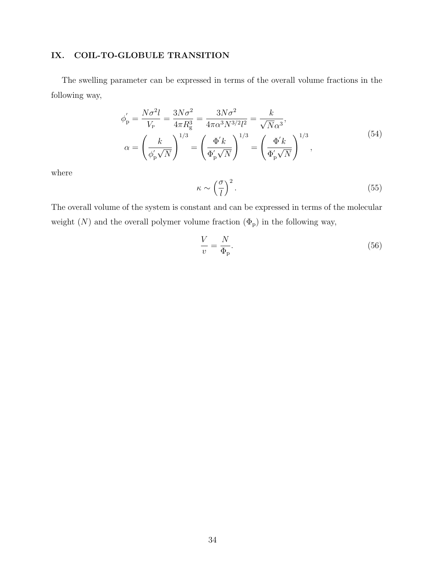## IX. COIL-TO-GLOBULE TRANSITION

The swelling parameter can be expressed in terms of the overall volume fractions in the following way,

$$
\phi'_{p} = \frac{N\sigma^{2}l}{V_{p}} = \frac{3N\sigma^{2}}{4\pi R_{g}^{3}} = \frac{3N\sigma^{2}}{4\pi\alpha^{3}N^{3/2}l^{2}} = \frac{k}{\sqrt{N}\alpha^{3}},
$$
\n
$$
\alpha = \left(\frac{k}{\phi'_{p}\sqrt{N}}\right)^{1/3} = \left(\frac{\Phi'k}{\Phi'_{p}\sqrt{N}}\right)^{1/3} = \left(\frac{\Phi'k}{\Phi'_{p}\sqrt{N}}\right)^{1/3},
$$
\n(54)

where

$$
\kappa \sim \left(\frac{\sigma}{l}\right)^2. \tag{55}
$$

The overall volume of the system is constant and can be expressed in terms of the molecular weight  $(N)$  and the overall polymer volume fraction  $(\Phi_{\rm p})$  in the following way,

$$
\frac{V}{v} = \frac{N}{\Phi_{\rm p}}.\tag{56}
$$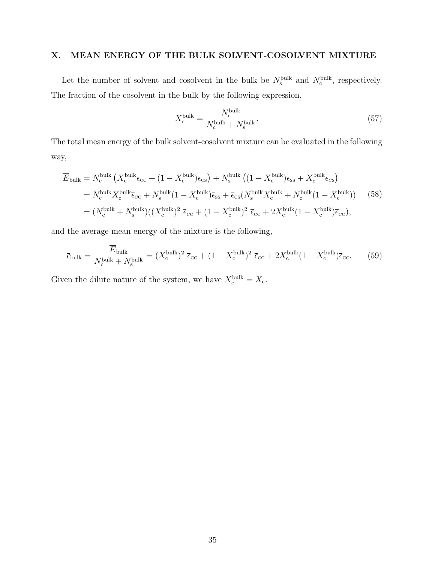#### X. MEAN ENERGY OF THE BULK SOLVENT-COSOLVENT MIXTURE

Let the number of solvent and cosolvent in the bulk be  $N_s^{\text{bulk}}$  and  $N_c^{\text{bulk}}$ , respectively. The fraction of the cosolvent in the bulk by the following expression,

$$
X_{\rm c}^{\rm bulk} = \frac{N_{\rm c}^{\rm bulk}}{N_{\rm c}^{\rm bulk} + N_{\rm s}^{\rm bulk}}.\tag{57}
$$

The total mean energy of the bulk solvent-cosolvent mixture can be evaluated in the following way,

$$
\overline{E}_{\text{bulk}} = N_{\text{c}}^{\text{bulk}} \left( X_{\text{c}}^{\text{bulk}} \overline{\epsilon}_{\text{cc}} + (1 - X_{\text{c}}^{\text{bulk}}) \overline{\epsilon}_{\text{cs}} \right) + N_{\text{s}}^{\text{bulk}} \left( (1 - X_{\text{c}}^{\text{bulk}}) \overline{\epsilon}_{\text{ss}} + X_{\text{c}}^{\text{bulk}} \overline{\epsilon}_{\text{cs}} \right)
$$
\n
$$
= N_{\text{c}}^{\text{bulk}} X_{\text{c}}^{\text{bulk}} \overline{\epsilon}_{\text{cc}} + N_{\text{s}}^{\text{bulk}} (1 - X_{\text{c}}^{\text{bulk}}) \overline{\epsilon}_{\text{ss}} + \overline{\epsilon}_{\text{cs}} (N_{\text{s}}^{\text{bulk}} X_{\text{c}}^{\text{bulk}} + N_{\text{c}}^{\text{bulk}} (1 - X_{\text{c}}^{\text{bulk}})) \qquad (58)
$$
\n
$$
= (N_{\text{c}}^{\text{bulk}} + N_{\text{s}}^{\text{bulk}}) ((X_{\text{c}}^{\text{bulk}})^2 \overline{\epsilon}_{\text{cc}} + (1 - X_{\text{c}}^{\text{bulk}})^2 \overline{\epsilon}_{\text{cc}} + 2X_{\text{c}}^{\text{bulk}} (1 - X_{\text{c}}^{\text{bulk}}) \overline{\epsilon}_{\text{cc}}),
$$

and the average mean energy of the mixture is the following,

$$
\overline{\epsilon}_{\text{bulk}} = \frac{\overline{E}_{\text{bulk}}}{N_{\text{c}}^{\text{bulk}} + N_{\text{s}}^{\text{bulk}}} = (X_{\text{c}}^{\text{bulk}})^2 \ \overline{\epsilon}_{\text{cc}} + (1 - X_{\text{c}}^{\text{bulk}})^2 \ \overline{\epsilon}_{\text{cc}} + 2X_{\text{c}}^{\text{bulk}}(1 - X_{\text{c}}^{\text{bulk}})\overline{\epsilon}_{\text{cc}}.\tag{59}
$$

Given the dilute nature of the system, we have  $X_c^{\text{bulk}} = X_c$ .